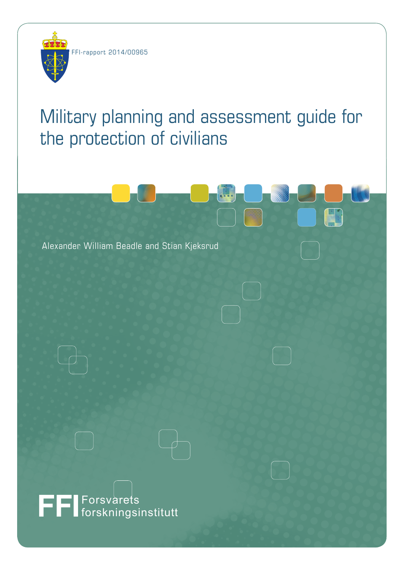



# Military planning and assessment guide for the protection of civilians

Alexander William Beadle and Stian Kjeksrud

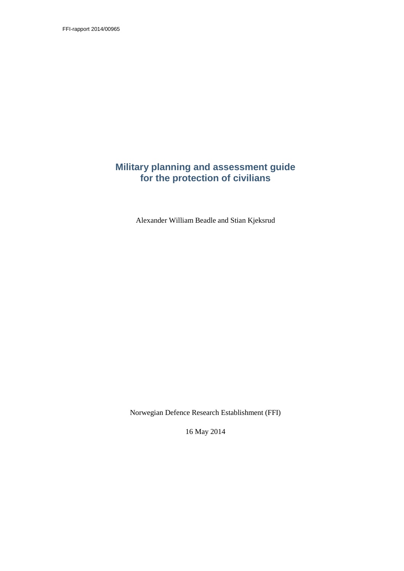# **Military planning and assessment guide for the protection of civilians**

Alexander William Beadle and Stian Kjeksrud

Norwegian Defence Research Establishment (FFI)

16 May 2014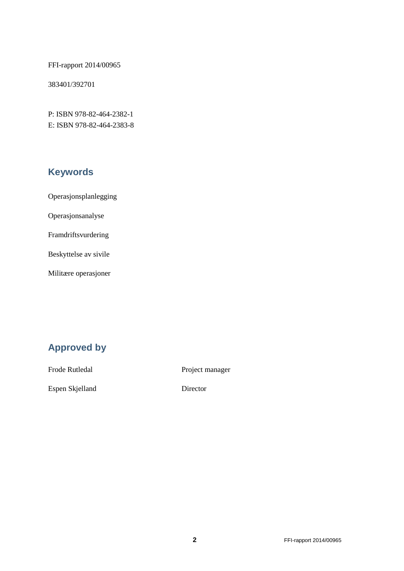FFI-rapport 2014/00965

383401/392701

P: ISBN 978-82-464-2382-1 E: ISBN 978-82-464-2383-8

# **Keywords**

Operasjonsplanlegging

Operasjonsanalyse

Framdriftsvurdering

Beskyttelse av sivile

Militære operasjoner

# **Approved by**

Frode Rutledal Project manager

Espen Skjelland Director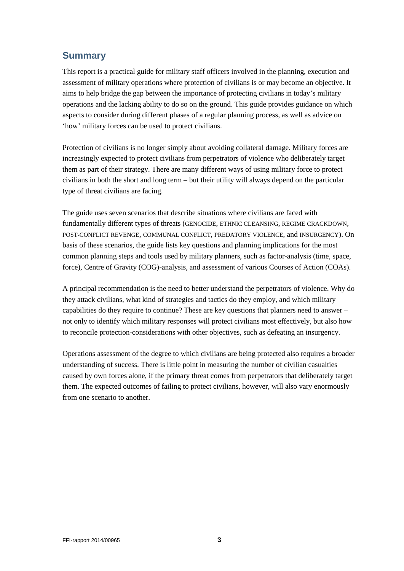# **Summary**

This report is a practical guide for military staff officers involved in the planning, execution and assessment of military operations where protection of civilians is or may become an objective. It aims to help bridge the gap between the importance of protecting civilians in today's military operations and the lacking ability to do so on the ground. This guide provides guidance on which aspects to consider during different phases of a regular planning process, as well as advice on 'how' military forces can be used to protect civilians.

Protection of civilians is no longer simply about avoiding collateral damage. Military forces are increasingly expected to protect civilians from perpetrators of violence who deliberately target them as part of their strategy. There are many different ways of using military force to protect civilians in both the short and long term – but their utility will always depend on the particular type of threat civilians are facing.

The guide uses seven scenarios that describe situations where civilians are faced with fundamentally different types of threats (GENOCIDE, ETHNIC CLEANSING, REGIME CRACKDOWN, POST-CONFLICT REVENGE, COMMUNAL CONFLICT, PREDATORY VIOLENCE, and INSURGENCY). On basis of these scenarios, the guide lists key questions and planning implications for the most common planning steps and tools used by military planners, such as factor-analysis (time, space, force), Centre of Gravity (COG)-analysis, and assessment of various Courses of Action (COAs).

A principal recommendation is the need to better understand the perpetrators of violence. Why do they attack civilians, what kind of strategies and tactics do they employ, and which military capabilities do they require to continue? These are key questions that planners need to answer – not only to identify which military responses will protect civilians most effectively, but also how to reconcile protection-considerations with other objectives, such as defeating an insurgency.

Operations assessment of the degree to which civilians are being protected also requires a broader understanding of success. There is little point in measuring the number of civilian casualties caused by own forces alone, if the primary threat comes from perpetrators that deliberately target them. The expected outcomes of failing to protect civilians, however, will also vary enormously from one scenario to another.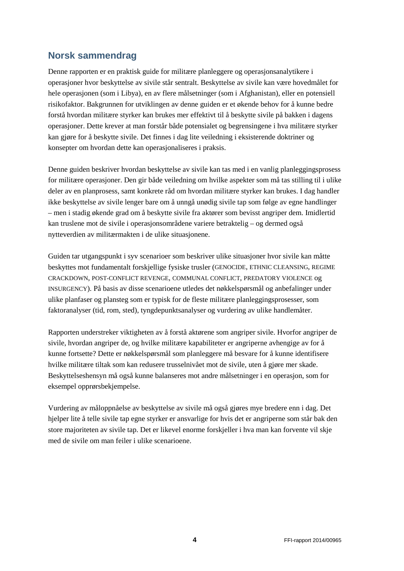# **Norsk sammendrag**

Denne rapporten er en praktisk guide for militære planleggere og operasjonsanalytikere i operasjoner hvor beskyttelse av sivile står sentralt. Beskyttelse av sivile kan være hovedmålet for hele operasjonen (som i Libya), en av flere målsetninger (som i Afghanistan), eller en potensiell risikofaktor. Bakgrunnen for utviklingen av denne guiden er et økende behov for å kunne bedre forstå hvordan militære styrker kan brukes mer effektivt til å beskytte sivile på bakken i dagens operasjoner. Dette krever at man forstår både potensialet og begrensingene i hva militære styrker kan gjøre for å beskytte sivile. Det finnes i dag lite veiledning i eksisterende doktriner og konsepter om hvordan dette kan operasjonaliseres i praksis.

Denne guiden beskriver hvordan beskyttelse av sivile kan tas med i en vanlig planleggingsprosess for militære operasjoner. Den gir både veiledning om hvilke aspekter som må tas stilling til i ulike deler av en planprosess, samt konkrete råd om hvordan militære styrker kan brukes. I dag handler ikke beskyttelse av sivile lenger bare om å unngå unødig sivile tap som følge av egne handlinger – men i stadig økende grad om å beskytte sivile fra aktører som bevisst angriper dem. Imidlertid kan truslene mot de sivile i operasjonsområdene variere betraktelig – og dermed også nytteverdien av militærmakten i de ulike situasjonene.

Guiden tar utgangspunkt i syv scenarioer som beskriver ulike situasjoner hvor sivile kan måtte beskyttes mot fundamentalt forskjellige fysiske trusler (GENOCIDE, ETHNIC CLEANSING, REGIME CRACKDOWN, POST-CONFLICT REVENGE, COMMUNAL CONFLICT, PREDATORY VIOLENCE og INSURGENCY). På basis av disse scenarioene utledes det nøkkelspørsmål og anbefalinger under ulike planfaser og plansteg som er typisk for de fleste militære planleggingsprosesser, som faktoranalyser (tid, rom, sted), tyngdepunktsanalyser og vurdering av ulike handlemåter.

Rapporten understreker viktigheten av å forstå aktørene som angriper sivile. Hvorfor angriper de sivile, hvordan angriper de, og hvilke militære kapabiliteter er angriperne avhengige av for å kunne fortsette? Dette er nøkkelspørsmål som planleggere må besvare for å kunne identifisere hvilke militære tiltak som kan redusere trusselnivået mot de sivile, uten å gjøre mer skade. Beskyttelseshensyn må også kunne balanseres mot andre målsetninger i en operasjon, som for eksempel opprørsbekjempelse.

Vurdering av måloppnåelse av beskyttelse av sivile må også gjøres mye bredere enn i dag. Det hjelper lite å telle sivile tap egne styrker er ansvarlige for hvis det er angriperne som står bak den store majoriteten av sivile tap. Det er likevel enorme forskjeller i hva man kan forvente vil skje med de sivile om man feiler i ulike scenarioene.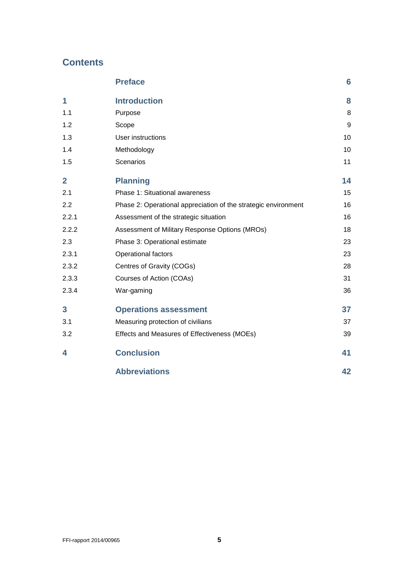# **Contents**

|                | <b>Preface</b>                                                 | 6  |
|----------------|----------------------------------------------------------------|----|
| 1              | <b>Introduction</b>                                            | 8  |
| 1.1            | Purpose                                                        | 8  |
| 1.2            | Scope                                                          | 9  |
| 1.3            | User instructions                                              | 10 |
| 1.4            | Methodology                                                    | 10 |
| 1.5            | Scenarios                                                      | 11 |
| $\overline{2}$ | <b>Planning</b>                                                | 14 |
| 2.1            | Phase 1: Situational awareness                                 | 15 |
| 2.2            | Phase 2: Operational appreciation of the strategic environment | 16 |
| 2.2.1          | Assessment of the strategic situation                          | 16 |
| 2.2.2          | Assessment of Military Response Options (MROs)                 | 18 |
| 2.3            | Phase 3: Operational estimate                                  | 23 |
| 2.3.1          | Operational factors                                            | 23 |
| 2.3.2          | Centres of Gravity (COGs)                                      | 28 |
| 2.3.3          | Courses of Action (COAs)                                       | 31 |
| 2.3.4          | War-gaming                                                     | 36 |
| 3              | <b>Operations assessment</b>                                   | 37 |
| 3.1            | Measuring protection of civilians                              | 37 |
| 3.2            | Effects and Measures of Effectiveness (MOEs)                   | 39 |
| 4              | <b>Conclusion</b>                                              | 41 |
|                | <b>Abbreviations</b>                                           | 42 |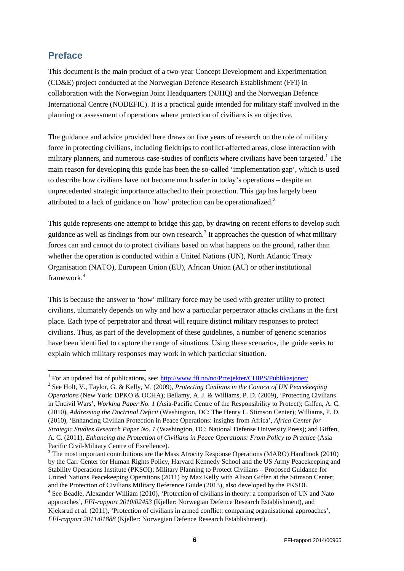# <span id="page-7-0"></span>**Preface**

This document is the main product of a two-year Concept Development and Experimentation (CD&E) project conducted at the Norwegian Defence Research Establishment (FFI) in collaboration with the Norwegian Joint Headquarters (NJHQ) and the Norwegian Defence International Centre (NODEFIC). It is a practical guide intended for military staff involved in the planning or assessment of operations where protection of civilians is an objective.

The guidance and advice provided here draws on five years of research on the role of military force in protecting civilians, including fieldtrips to conflict-affected areas, close interaction with military planners, and numerous case-studies of conflicts where civilians have been targeted.<sup>[1](#page-7-1)</sup> The main reason for developing this guide has been the so-called 'implementation gap', which is used to describe how civilians have not become much safer in today's operations – despite an unprecedented strategic importance attached to their protection. This gap has largely been attributed to a lack of guidance on 'how' protection can be operationalized.[2](#page-7-2)

This guide represents one attempt to bridge this gap, by drawing on recent efforts to develop such guidance as well as findings from our own research.<sup>[3](#page-7-3)</sup> It approaches the question of what military forces can and cannot do to protect civilians based on what happens on the ground, rather than whether the operation is conducted within a United Nations (UN), North Atlantic Treaty Organisation (NATO), European Union (EU), African Union (AU) or other institutional framework.[4](#page-7-4)

This is because the answer to 'how' military force may be used with greater utility to protect civilians, ultimately depends on why and how a particular perpetrator attacks civilians in the first place. Each type of perpetrator and threat will require distinct military responses to protect civilians. Thus, as part of the development of these guidelines, a number of generic scenarios have been identified to capture the range of situations. Using these scenarios, the guide seeks to explain which military responses may work in which particular situation.

<sup>&</sup>lt;sup>1</sup> For an updated list of publications, see[: http://www.ffi.no/no/Prosjekter/CHIPS/Publikasjoner/](http://www.ffi.no/no/Prosjekter/CHIPS/Publikasjoner/)

<span id="page-7-2"></span><span id="page-7-1"></span><sup>2</sup> See Holt, V., Taylor, G. & Kelly, M. (2009), *Protecting Civilians in the Context of UN Peacekeeping Operations* (New York: DPKO & OCHA); Bellamy, A. J. & Williams, P. D. (2009), 'Protecting Civilians in Uncivil Wars', *Working Paper No. 1* (Asia-Pacific Centre of the Responsibility to Protect); Giffen, A. C. (2010), *Addressing the Doctrinal Deficit* (Washington, DC: The Henry L. Stimson Center); Williams, P. D. (2010), 'Enhancing Civilian Protection in Peace Operations: insights from Africa', *Africa Center for Strategic Studies Research Paper No. 1* (Washington, DC: National Defense University Press); and Giffen, A. C. (2011), *Enhancing the Protection of Civilians in Peace Operations: From Policy to Practice* (Asia

<span id="page-7-3"></span>Pacific Civil-Military Centre of Excellence).<br><sup>3</sup> The most important contributions are the Mass Atrocity Response Operations (MARO) Handbook (2010) by the Carr Center for Human Rights Policy, Harvard Kennedy School and the US Army Peacekeeping and Stability Operations Institute (PKSOI); Military Planning to Protect Civilians – Proposed Guidance for United Nations Peacekeeping Operations (2011) by Max Kelly with Alison Giffen at the Stimson Center; and the Protection of Civilians Military Reference Guide (2013), also developed by the PKSOI.

<span id="page-7-4"></span><sup>&</sup>lt;sup>4</sup> See Beadle, Alexander William (2010), 'Protection of civilians in theory: a comparison of UN and Nato approaches', *FFI-rapport 2010/02453* (Kjeller: Norwegian Defence Research Establishment), and Kjeksrud et al. (2011), 'Protection of civilians in armed conflict: comparing organisational approaches', *FFI-rapport 2011/01888* (Kjeller: Norwegian Defence Research Establishment).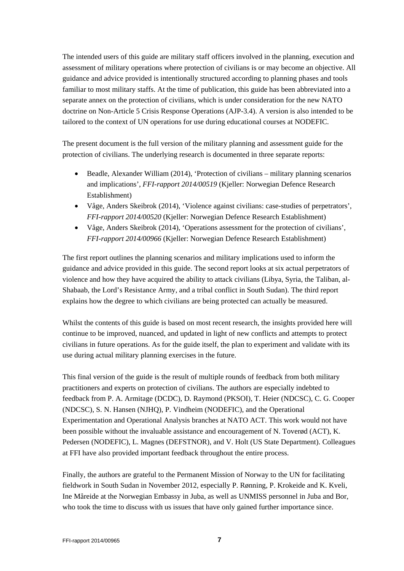The intended users of this guide are military staff officers involved in the planning, execution and assessment of military operations where protection of civilians is or may become an objective. All guidance and advice provided is intentionally structured according to planning phases and tools familiar to most military staffs. At the time of publication, this guide has been abbreviated into a separate annex on the protection of civilians, which is under consideration for the new NATO doctrine on Non-Article 5 Crisis Response Operations (AJP-3.4). A version is also intended to be tailored to the context of UN operations for use during educational courses at NODEFIC.

The present document is the full version of the military planning and assessment guide for the protection of civilians. The underlying research is documented in three separate reports:

- Beadle, Alexander William (2014), 'Protection of civilians military planning scenarios and implications', *FFI-rapport 2014/00519* (Kjeller: Norwegian Defence Research Establishment)
- Våge, Anders Skeibrok (2014), 'Violence against civilians: case-studies of perpetrators', *FFI-rapport 2014/00520* (Kjeller: Norwegian Defence Research Establishment)
- Våge, Anders Skeibrok (2014), 'Operations assessment for the protection of civilians', *FFI-rapport 2014/00966* (Kjeller: Norwegian Defence Research Establishment)

The first report outlines the planning scenarios and military implications used to inform the guidance and advice provided in this guide. The second report looks at six actual perpetrators of violence and how they have acquired the ability to attack civilians (Libya, Syria, the Taliban, al-Shabaab, the Lord's Resistance Army, and a tribal conflict in South Sudan). The third report explains how the degree to which civilians are being protected can actually be measured.

Whilst the contents of this guide is based on most recent research, the insights provided here will continue to be improved, nuanced, and updated in light of new conflicts and attempts to protect civilians in future operations. As for the guide itself, the plan to experiment and validate with its use during actual military planning exercises in the future.

This final version of the guide is the result of multiple rounds of feedback from both military practitioners and experts on protection of civilians. The authors are especially indebted to feedback from P. A. Armitage (DCDC), D. Raymond (PKSOI), T. Heier (NDCSC), C. G. Cooper (NDCSC), S. N. Hansen (NJHQ), P. Vindheim (NODEFIC), and the Operational Experimentation and Operational Analysis branches at NATO ACT. This work would not have been possible without the invaluable assistance and encouragement of N. Toverød (ACT), K. Pedersen (NODEFIC), L. Magnes (DEFSTNOR), and V. Holt (US State Department). Colleagues at FFI have also provided important feedback throughout the entire process.

Finally, the authors are grateful to the Permanent Mission of Norway to the UN for facilitating fieldwork in South Sudan in November 2012, especially P. Rønning, P. Krokeide and K. Kveli, Ine Måreide at the Norwegian Embassy in Juba, as well as UNMISS personnel in Juba and Bor, who took the time to discuss with us issues that have only gained further importance since.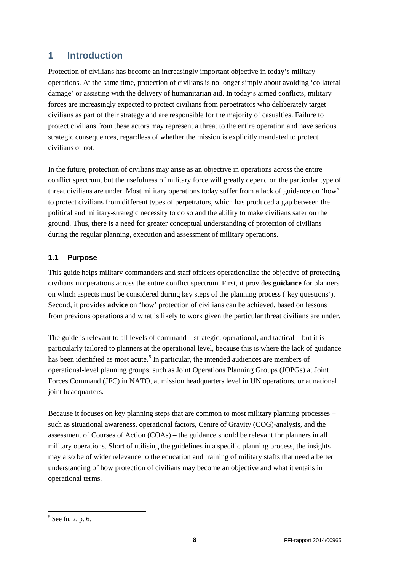# <span id="page-9-0"></span>**1 Introduction**

Protection of civilians has become an increasingly important objective in today's military operations. At the same time, protection of civilians is no longer simply about avoiding 'collateral damage' or assisting with the delivery of humanitarian aid. In today's armed conflicts, military forces are increasingly expected to protect civilians from perpetrators who deliberately target civilians as part of their strategy and are responsible for the majority of casualties. Failure to protect civilians from these actors may represent a threat to the entire operation and have serious strategic consequences, regardless of whether the mission is explicitly mandated to protect civilians or not.

In the future, protection of civilians may arise as an objective in operations across the entire conflict spectrum, but the usefulness of military force will greatly depend on the particular type of threat civilians are under. Most military operations today suffer from a lack of guidance on 'how' to protect civilians from different types of perpetrators, which has produced a gap between the political and military-strategic necessity to do so and the ability to make civilians safer on the ground. Thus, there is a need for greater conceptual understanding of protection of civilians during the regular planning, execution and assessment of military operations.

### <span id="page-9-1"></span>**1.1 Purpose**

This guide helps military commanders and staff officers operationalize the objective of protecting civilians in operations across the entire conflict spectrum. First, it provides **guidance** for planners on which aspects must be considered during key steps of the planning process ('key questions'). Second, it provides **advice** on 'how' protection of civilians can be achieved, based on lessons from previous operations and what is likely to work given the particular threat civilians are under.

The guide is relevant to all levels of command – strategic, operational, and tactical – but it is particularly tailored to planners at the operational level, because this is where the lack of guidance has been identified as most acute.<sup>[5](#page-9-2)</sup> In particular, the intended audiences are members of operational-level planning groups, such as Joint Operations Planning Groups (JOPGs) at Joint Forces Command (JFC) in NATO, at mission headquarters level in UN operations, or at national joint headquarters.

Because it focuses on key planning steps that are common to most military planning processes – such as situational awareness, operational factors, Centre of Gravity (COG)-analysis, and the assessment of Courses of Action (COAs) – the guidance should be relevant for planners in all military operations. Short of utilising the guidelines in a specific planning process, the insights may also be of wider relevance to the education and training of military staffs that need a better understanding of how protection of civilians may become an objective and what it entails in operational terms.

<span id="page-9-2"></span> $5$  See fn. 2, p. 6.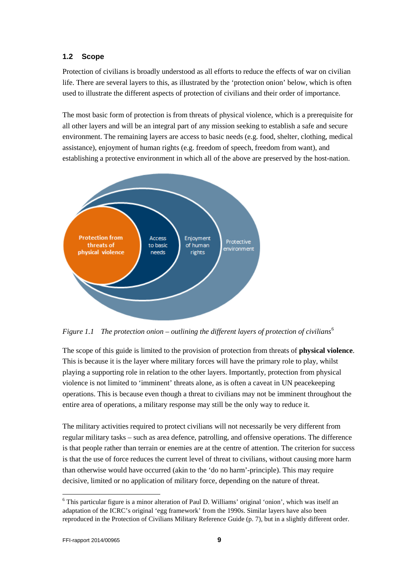#### <span id="page-10-0"></span>**1.2 Scope**

Protection of civilians is broadly understood as all efforts to reduce the effects of war on civilian life. There are several layers to this, as illustrated by the 'protection onion' below, which is often used to illustrate the different aspects of protection of civilians and their order of importance.

The most basic form of protection is from threats of physical violence, which is a prerequisite for all other layers and will be an integral part of any mission seeking to establish a safe and secure environment. The remaining layers are access to basic needs (e.g. food, shelter, clothing, medical assistance), enjoyment of human rights (e.g. freedom of speech, freedom from want), and establishing a protective environment in which all of the above are preserved by the host-nation.



*Figure 1.1 The protection onion – outlining the different layers of protection of civilians*[6](#page-10-1)

The scope of this guide is limited to the provision of protection from threats of **physical violence**. This is because it is the layer where military forces will have the primary role to play, whilst playing a supporting role in relation to the other layers. Importantly, protection from physical violence is not limited to 'imminent' threats alone, as is often a caveat in UN peacekeeping operations. This is because even though a threat to civilians may not be imminent throughout the entire area of operations, a military response may still be the only way to reduce it.

The military activities required to protect civilians will not necessarily be very different from regular military tasks – such as area defence, patrolling, and offensive operations. The difference is that people rather than terrain or enemies are at the centre of attention. The criterion for success is that the use of force reduces the current level of threat to civilians, without causing more harm than otherwise would have occurred (akin to the 'do no harm'-principle). This may require decisive, limited or no application of military force, depending on the nature of threat.

<span id="page-10-1"></span> <sup>6</sup> This particular figure is a minor alteration of Paul D. Williams' original 'onion', which was itself an adaptation of the ICRC's original 'egg framework' from the 1990s. Similar layers have also been reproduced in the Protection of Civilians Military Reference Guide (p. 7), but in a slightly different order.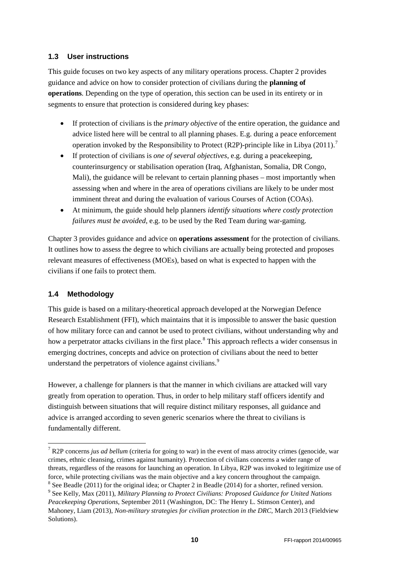### <span id="page-11-0"></span>**1.3 User instructions**

This guide focuses on two key aspects of any military operations process. Chapter 2 provides guidance and advice on how to consider protection of civilians during the **planning of operations**. Depending on the type of operation, this section can be used in its entirety or in segments to ensure that protection is considered during key phases:

- If protection of civilians is the *primary objective* of the entire operation, the guidance and advice listed here will be central to all planning phases. E.g. during a peace enforcement operation invoked by the Responsibility to Protect (R2P)-principle like in Libya (2011).<sup>[7](#page-11-2)</sup>
- If protection of civilians is *one of several objectives*, e.g. during a peacekeeping, counterinsurgency or stabilisation operation (Iraq, Afghanistan, Somalia, DR Congo, Mali), the guidance will be relevant to certain planning phases – most importantly when assessing when and where in the area of operations civilians are likely to be under most imminent threat and during the evaluation of various Courses of Action (COAs).
- At minimum, the guide should help planners *identify situations where costly protection failures must be avoided*, e.g. to be used by the Red Team during war-gaming.

Chapter 3 provides guidance and advice on **operations assessment** for the protection of civilians. It outlines how to assess the degree to which civilians are actually being protected and proposes relevant measures of effectiveness (MOEs), based on what is expected to happen with the civilians if one fails to protect them.

### <span id="page-11-1"></span>**1.4 Methodology**

This guide is based on a military-theoretical approach developed at the Norwegian Defence Research Establishment (FFI), which maintains that it is impossible to answer the basic question of how military force can and cannot be used to protect civilians, without understanding why and how a perpetrator attacks civilians in the first place.<sup>[8](#page-11-3)</sup> This approach reflects a wider consensus in emerging doctrines, concepts and advice on protection of civilians about the need to better understand the perpetrators of violence against civilians.<sup>[9](#page-11-4)</sup>

However, a challenge for planners is that the manner in which civilians are attacked will vary greatly from operation to operation. Thus, in order to help military staff officers identify and distinguish between situations that will require distinct military responses, all guidance and advice is arranged according to seven generic scenarios where the threat to civilians is fundamentally different.

<span id="page-11-2"></span> <sup>7</sup> R2P concerns *jus ad bellum* (criteria for going to war) in the event of mass atrocity crimes (genocide, war crimes, ethnic cleansing, crimes against humanity). Protection of civilians concerns a wider range of threats, regardless of the reasons for launching an operation. In Libya, R2P was invoked to legitimize use of force, while protecting civilians was the main objective and a key concern throughout the campaign. <sup>8</sup> See Beadle (2011) for the original idea; or Chapter 2 in Beadle (2014) for a shorter, refined version.

<span id="page-11-4"></span><span id="page-11-3"></span><sup>9</sup> See Kelly, Max (2011), *Military Planning to Protect Civilians: Proposed Guidance for United Nations* 

*Peacekeeping Operations*, September 2011 (Washington, DC: The Henry L. Stimson Center), and Mahoney, Liam (2013), *Non-military strategies for civilian protection in the DRC*, March 2013 (Fieldview Solutions).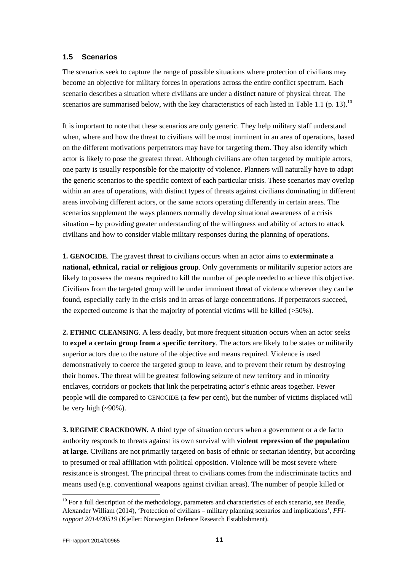#### <span id="page-12-0"></span>**1.5 Scenarios**

The scenarios seek to capture the range of possible situations where protection of civilians may become an objective for military forces in operations across the entire conflict spectrum. Each scenario describes a situation where civilians are under a distinct nature of physical threat. The scenarios are summarised below, with the key characteristics of each listed in Table 1.1 (p. 13).<sup>[10](#page-12-1)</sup>

It is important to note that these scenarios are only generic. They help military staff understand when, where and how the threat to civilians will be most imminent in an area of operations, based on the different motivations perpetrators may have for targeting them. They also identify which actor is likely to pose the greatest threat. Although civilians are often targeted by multiple actors, one party is usually responsible for the majority of violence. Planners will naturally have to adapt the generic scenarios to the specific context of each particular crisis. These scenarios may overlap within an area of operations, with distinct types of threats against civilians dominating in different areas involving different actors, or the same actors operating differently in certain areas. The scenarios supplement the ways planners normally develop situational awareness of a crisis situation – by providing greater understanding of the willingness and ability of actors to attack civilians and how to consider viable military responses during the planning of operations.

**1. GENOCIDE**. The gravest threat to civilians occurs when an actor aims to **exterminate a national, ethnical, racial or religious group**. Only governments or militarily superior actors are likely to possess the means required to kill the number of people needed to achieve this objective. Civilians from the targeted group will be under imminent threat of violence wherever they can be found, especially early in the crisis and in areas of large concentrations. If perpetrators succeed, the expected outcome is that the majority of potential victims will be killed (>50%).

**2. ETHNIC CLEANSING**. A less deadly, but more frequent situation occurs when an actor seeks to **expel a certain group from a specific territory**. The actors are likely to be states or militarily superior actors due to the nature of the objective and means required. Violence is used demonstratively to coerce the targeted group to leave, and to prevent their return by destroying their homes. The threat will be greatest following seizure of new territory and in minority enclaves, corridors or pockets that link the perpetrating actor's ethnic areas together. Fewer people will die compared to GENOCIDE (a few per cent), but the number of victims displaced will be very high  $(-90\%)$ .

**3. REGIME CRACKDOWN**. A third type of situation occurs when a government or a de facto authority responds to threats against its own survival with **violent repression of the population at large**. Civilians are not primarily targeted on basis of ethnic or sectarian identity, but according to presumed or real affiliation with political opposition. Violence will be most severe where resistance is strongest. The principal threat to civilians comes from the indiscriminate tactics and means used (e.g. conventional weapons against civilian areas). The number of people killed or

j

<span id="page-12-1"></span> $10$  For a full description of the methodology, parameters and characteristics of each scenario, see Beadle, Alexander William (2014), 'Protection of civilians – military planning scenarios and implications', *FFIrapport 2014/00519* (Kieller: Norwegian Defence Research Establishment).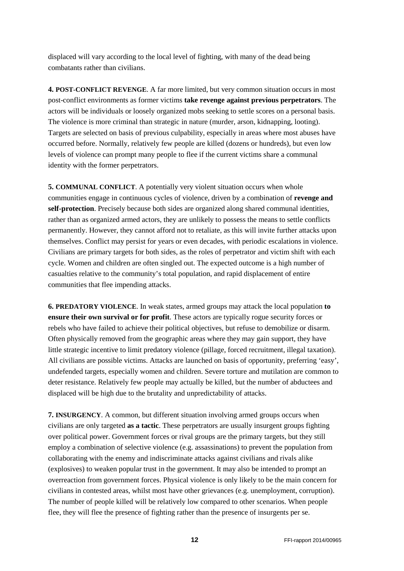displaced will vary according to the local level of fighting, with many of the dead being combatants rather than civilians.

**4. POST-CONFLICT REVENGE**. A far more limited, but very common situation occurs in most post-conflict environments as former victims **take revenge against previous perpetrators**. The actors will be individuals or loosely organized mobs seeking to settle scores on a personal basis. The violence is more criminal than strategic in nature (murder, arson, kidnapping, looting). Targets are selected on basis of previous culpability, especially in areas where most abuses have occurred before. Normally, relatively few people are killed (dozens or hundreds), but even low levels of violence can prompt many people to flee if the current victims share a communal identity with the former perpetrators.

**5. COMMUNAL CONFLICT**. A potentially very violent situation occurs when whole communities engage in continuous cycles of violence, driven by a combination of **revenge and self-protection**. Precisely because both sides are organized along shared communal identities, rather than as organized armed actors, they are unlikely to possess the means to settle conflicts permanently. However, they cannot afford not to retaliate, as this will invite further attacks upon themselves. Conflict may persist for years or even decades, with periodic escalations in violence. Civilians are primary targets for both sides, as the roles of perpetrator and victim shift with each cycle. Women and children are often singled out. The expected outcome is a high number of casualties relative to the community's total population, and rapid displacement of entire communities that flee impending attacks.

**6. PREDATORY VIOLENCE**. In weak states, armed groups may attack the local population **to ensure their own survival or for profit**. These actors are typically rogue security forces or rebels who have failed to achieve their political objectives, but refuse to demobilize or disarm. Often physically removed from the geographic areas where they may gain support, they have little strategic incentive to limit predatory violence (pillage, forced recruitment, illegal taxation). All civilians are possible victims. Attacks are launched on basis of opportunity, preferring 'easy', undefended targets, especially women and children. Severe torture and mutilation are common to deter resistance. Relatively few people may actually be killed, but the number of abductees and displaced will be high due to the brutality and unpredictability of attacks.

**7. INSURGENCY**. A common, but different situation involving armed groups occurs when civilians are only targeted **as a tactic**. These perpetrators are usually insurgent groups fighting over political power. Government forces or rival groups are the primary targets, but they still employ a combination of selective violence (e.g. assassinations) to prevent the population from collaborating with the enemy and indiscriminate attacks against civilians and rivals alike (explosives) to weaken popular trust in the government. It may also be intended to prompt an overreaction from government forces. Physical violence is only likely to be the main concern for civilians in contested areas, whilst most have other grievances (e.g. unemployment, corruption). The number of people killed will be relatively low compared to other scenarios. When people flee, they will flee the presence of fighting rather than the presence of insurgents per se.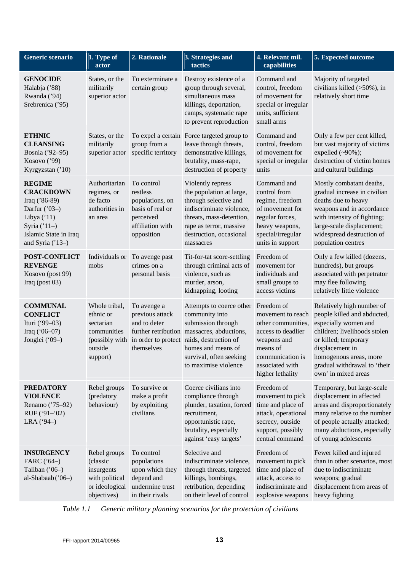| Generic scenario                                                                                                                                    | 1. Type of<br>actor                                                                       | 2. Rationale                                                                                                 | 3. Strategies and<br>tactics                                                                                                                                                                                                                                   | 4. Relevant mil.<br>capabilities                                                                                                                    | 5. Expected outcome                                                                                                                                                                                                                          |
|-----------------------------------------------------------------------------------------------------------------------------------------------------|-------------------------------------------------------------------------------------------|--------------------------------------------------------------------------------------------------------------|----------------------------------------------------------------------------------------------------------------------------------------------------------------------------------------------------------------------------------------------------------------|-----------------------------------------------------------------------------------------------------------------------------------------------------|----------------------------------------------------------------------------------------------------------------------------------------------------------------------------------------------------------------------------------------------|
| <b>GENOCIDE</b><br>Halabja ('88)<br>Rwanda ('94)<br>Srebrenica ('95)                                                                                | States, or the<br>militarily<br>superior actor                                            | To exterminate a<br>certain group                                                                            | Destroy existence of a<br>group through several,<br>simultaneous mass<br>killings, deportation,<br>camps, systematic rape<br>to prevent reproduction                                                                                                           | Command and<br>control, freedom<br>of movement for<br>special or irregular<br>units, sufficient<br>small arms                                       | Majority of targeted<br>civilians killed (>50%), in<br>relatively short time                                                                                                                                                                 |
| <b>ETHNIC</b><br><b>CLEANSING</b><br>Bosnia ('92-95)<br>Kosovo ('99)<br>Kyrgyzstan ('10)                                                            | States, or the<br>militarily<br>superior actor                                            | group from a<br>specific territory                                                                           | To expel a certain Force targeted group to<br>leave through threats,<br>demonstrative killings,<br>brutality, mass-rape,<br>destruction of property                                                                                                            | Command and<br>control, freedom<br>of movement for<br>special or irregular<br>units                                                                 | Only a few per cent killed,<br>but vast majority of victims<br>expelled $(\sim 90\%)$ ;<br>destruction of victim homes<br>and cultural buildings                                                                                             |
| <b>REGIME</b><br><b>CRACKDOWN</b><br>Iraq ('86-89)<br>Darfur ('03-)<br>Libya $('11)$<br>Syria $('11-)$<br>Islamic State in Iraq<br>and Syria ('13-) | Authoritarian<br>regimes, or<br>de facto<br>authorities in<br>an area                     | To control<br>restless<br>populations, on<br>basis of real or<br>perceived<br>affiliation with<br>opposition | Violently repress<br>the population at large,<br>through selective and<br>indiscriminate violence,<br>threats, mass-detention,<br>rape as terror, massive<br>destruction, occasional<br>massacres                                                              | Command and<br>control from<br>regime, freedom<br>of movement for<br>regular forces,<br>heavy weapons,<br>special/irregular<br>units in support     | Mostly combatant deaths,<br>gradual increase in civilian<br>deaths due to heavy<br>weapons and in accordance<br>with intensity of fighting;<br>large-scale displacement;<br>widespread destruction of<br>population centres                  |
| POST-CONFLICT<br><b>REVENGE</b><br>Kosovo (post 99)<br>Iraq (post 03)                                                                               | Individuals or<br>mobs                                                                    | To avenge past<br>crimes on a<br>personal basis                                                              | Tit-for-tat score-settling<br>through criminal acts of<br>violence, such as<br>murder, arson,<br>kidnapping, looting                                                                                                                                           | Freedom of<br>movement for<br>individuals and<br>small groups to<br>access victims                                                                  | Only a few killed (dozens,<br>hundreds), but groups<br>associated with perpetrator<br>may flee following<br>relatively little violence                                                                                                       |
| <b>COMMUNAL</b><br><b>CONFLICT</b><br>Ituri ('99-03)<br>Iraq $(06-07)$<br>Jonglei ('09-)                                                            | Whole tribal,<br>ethnic or<br>sectarian<br>communities<br>outside<br>support)             | To avenge a<br>previous attack<br>and to deter<br>themselves                                                 | Attempts to coerce other Freedom of<br>community into<br>submission through<br>further retribution massacres, abductions,<br>(possibly with in order to protect raids, destruction of<br>homes and means of<br>survival, often seeking<br>to maximise violence | movement to reach<br>other communities,<br>access to deadlier<br>weapons and<br>means of<br>communication is<br>associated with<br>higher lethality | Relatively high number of<br>people killed and abducted,<br>especially women and<br>children; livelihoods stolen<br>or killed; temporary<br>displacement in<br>homogenous areas, more<br>gradual withdrawal to 'their<br>own' in mixed areas |
| <b>PREDATORY</b><br><b>VIOLENCE</b><br>Renamo ('75-92)<br>RUF ('91-'02)<br>LRA ('94-)                                                               | Rebel groups<br>(predatory<br>behaviour)                                                  | To survive or<br>make a profit<br>by exploiting<br>civilians                                                 | Coerce civilians into<br>compliance through<br>plunder, taxation, forced<br>recruitment,<br>opportunistic rape,<br>brutality, especially<br>against 'easy targets'                                                                                             | Freedom of<br>movement to pick<br>time and place of<br>attack, operational<br>secrecy, outside<br>support, possibly<br>central command              | Temporary, but large-scale<br>displacement in affected<br>areas and disproportionately<br>many relative to the number<br>of people actually attacked;<br>many abductions, especially<br>of young adolescents                                 |
| <b>INSURGENCY</b><br>FARC ('64-)<br>Taliban ('06-)<br>al-Shabaab ('06-)                                                                             | Rebel groups<br>(classic<br>insurgents<br>with political<br>or ideological<br>objectives) | To control<br>populations<br>upon which they<br>depend and<br>undermine trust<br>in their rivals             | Selective and<br>indiscriminate violence,<br>through threats, targeted<br>killings, bombings,<br>retribution, depending<br>on their level of control                                                                                                           | Freedom of<br>movement to pick<br>time and place of<br>attack, access to<br>indiscriminate and<br>explosive weapons                                 | Fewer killed and injured<br>than in other scenarios, most<br>due to indiscriminate<br>weapons; gradual<br>displacement from areas of<br>heavy fighting                                                                                       |

 *Table 1.1 Generic military planning scenarios for the protection of civilians*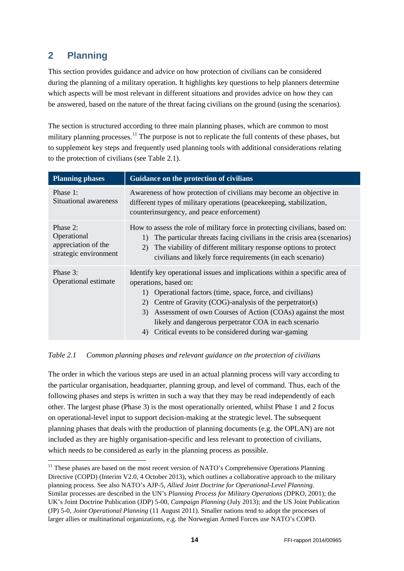# <span id="page-15-0"></span>**2 Planning**

This section provides guidance and advice on how protection of civilians can be considered during the planning of a military operation. It highlights key questions to help planners determine which aspects will be most relevant in different situations and provides advice on how they can be answered, based on the nature of the threat facing civilians on the ground (using the scenarios).

The section is structured according to three main planning phases, which are common to most military planning processes.<sup>[11](#page-15-1)</sup> The purpose is not to replicate the full contents of these phases, but to supplement key steps and frequently used planning tools with additional considerations relating to the protection of civilians (see Table 2.1).

| <b>Planning phases</b>                                                  | Guidance on the protection of civilians                                                                                                                                                                                                                                                                                                                                                                                                  |
|-------------------------------------------------------------------------|------------------------------------------------------------------------------------------------------------------------------------------------------------------------------------------------------------------------------------------------------------------------------------------------------------------------------------------------------------------------------------------------------------------------------------------|
| Phase 1:<br>Situational awareness                                       | Awareness of how protection of civilians may become an objective in<br>different types of military operations (peacekeeping, stabilization,<br>counterinsurgency, and peace enforcement)                                                                                                                                                                                                                                                 |
| Phase 2:<br>Operational<br>appreciation of the<br>strategic environment | How to assess the role of military force in protecting civilians, based on:<br>The particular threats facing civilians in the crisis area (scenarios)<br>$\left  \right $<br>The viability of different military response options to protect<br>2)<br>civilians and likely force requirements (in each scenario)                                                                                                                         |
| Phase 3:<br>Operational estimate                                        | Identify key operational issues and implications within a specific area of<br>operations, based on:<br>Operational factors (time, space, force, and civilians)<br>$\mathbf{D}$<br>Centre of Gravity (COG)-analysis of the perpetrator(s)<br>2)<br>Assessment of own Courses of Action (COAs) against the most<br>3)<br>likely and dangerous perpetrator COA in each scenario<br>Critical events to be considered during war-gaming<br>4) |

### *Table 2.1 Common planning phases and relevant guidance on the protection of civilians*

The order in which the various steps are used in an actual planning process will vary according to the particular organisation, headquarter, planning group, and level of command. Thus, each of the following phases and steps is written in such a way that they may be read independently of each other. The largest phase (Phase 3) is the most operationally oriented, whilst Phase 1 and 2 focus on operational-level input to support decision-making at the strategic level. The subsequent planning phases that deals with the production of planning documents (e.g. the OPLAN) are not included as they are highly organisation-specific and less relevant to protection of civilians, which needs to be considered as early in the planning process as possible.

<span id="page-15-1"></span><sup>&</sup>lt;sup>11</sup> These phases are based on the most recent version of NATO's Comprehensive Operations Planning Directive (COPD) (Interim V2.0, 4 October 2013), which outlines a collaborative approach to the military planning process. See also NATO's AJP-5, *Allied Joint Doctrine for Operational-Level Planning*. Similar processes are described in the UN's *Planning Process for Military Operations* (DPKO, 2001); the UK's Joint Doctrine Publication (JDP) 5-00, *Campaign Planning* (July 2013); and the US Joint Publication (JP) 5-0, *Joint Operational Planning* (11 August 2011). Smaller nations tend to adopt the processes of larger allies or multinational organizations, e.g. the Norwegian Armed Forces use NATO's COPD.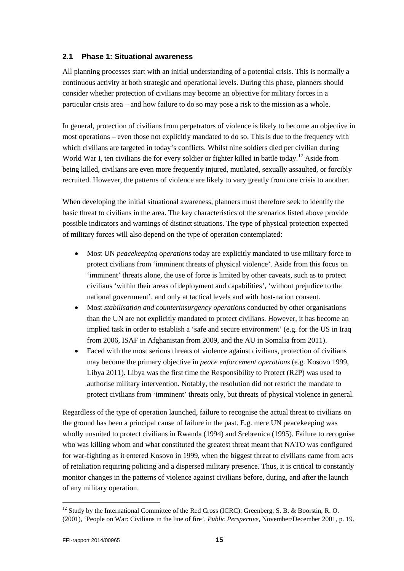#### <span id="page-16-0"></span>**2.1 Phase 1: Situational awareness**

All planning processes start with an initial understanding of a potential crisis. This is normally a continuous activity at both strategic and operational levels. During this phase, planners should consider whether protection of civilians may become an objective for military forces in a particular crisis area – and how failure to do so may pose a risk to the mission as a whole.

In general, protection of civilians from perpetrators of violence is likely to become an objective in most operations – even those not explicitly mandated to do so. This is due to the frequency with which civilians are targeted in today's conflicts. Whilst nine soldiers died per civilian during World War I, ten civilians die for every soldier or fighter killed in battle today.[12](#page-16-1) Aside from being killed, civilians are even more frequently injured, mutilated, sexually assaulted, or forcibly recruited. However, the patterns of violence are likely to vary greatly from one crisis to another.

When developing the initial situational awareness, planners must therefore seek to identify the basic threat to civilians in the area. The key characteristics of the scenarios listed above provide possible indicators and warnings of distinct situations. The type of physical protection expected of military forces will also depend on the type of operation contemplated:

- Most UN *peacekeeping operations* today are explicitly mandated to use military force to protect civilians from 'imminent threats of physical violence'. Aside from this focus on 'imminent' threats alone, the use of force is limited by other caveats, such as to protect civilians 'within their areas of deployment and capabilities', 'without prejudice to the national government', and only at tactical levels and with host-nation consent.
- Most *stabilisation and counterinsurgency operations* conducted by other organisations than the UN are not explicitly mandated to protect civilians. However, it has become an implied task in order to establish a 'safe and secure environment' (e.g. for the US in Iraq from 2006, ISAF in Afghanistan from 2009, and the AU in Somalia from 2011).
- Faced with the most serious threats of violence against civilians, protection of civilians may become the primary objective in *peace enforcement operations* (e.g. Kosovo 1999, Libya 2011). Libya was the first time the Responsibility to Protect (R2P) was used to authorise military intervention. Notably, the resolution did not restrict the mandate to protect civilians from 'imminent' threats only, but threats of physical violence in general.

Regardless of the type of operation launched, failure to recognise the actual threat to civilians on the ground has been a principal cause of failure in the past. E.g. mere UN peacekeeping was wholly unsuited to protect civilians in Rwanda (1994) and Srebrenica (1995). Failure to recognise who was killing whom and what constituted the greatest threat meant that NATO was configured for war-fighting as it entered Kosovo in 1999, when the biggest threat to civilians came from acts of retaliation requiring policing and a dispersed military presence. Thus, it is critical to constantly monitor changes in the patterns of violence against civilians before, during, and after the launch of any military operation.

<span id="page-16-1"></span><sup>&</sup>lt;sup>12</sup> Study by the International Committee of the Red Cross (ICRC): Greenberg, S. B. & Boorstin, R. O. (2001), 'People on War: Civilians in the line of fire', *Public Perspective*, November/December 2001, p. 19.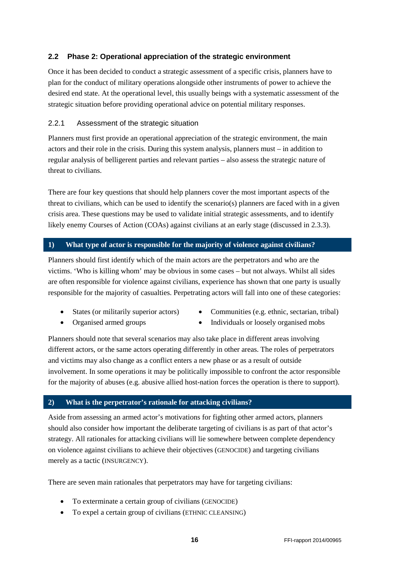### <span id="page-17-0"></span>**2.2 Phase 2: Operational appreciation of the strategic environment**

Once it has been decided to conduct a strategic assessment of a specific crisis, planners have to plan for the conduct of military operations alongside other instruments of power to achieve the desired end state. At the operational level, this usually beings with a systematic assessment of the strategic situation before providing operational advice on potential military responses.

### <span id="page-17-1"></span>2.2.1 Assessment of the strategic situation

Planners must first provide an operational appreciation of the strategic environment, the main actors and their role in the crisis. During this system analysis, planners must – in addition to regular analysis of belligerent parties and relevant parties – also assess the strategic nature of threat to civilians.

There are four key questions that should help planners cover the most important aspects of the threat to civilians, which can be used to identify the scenario(s) planners are faced with in a given crisis area. These questions may be used to validate initial strategic assessments, and to identify likely enemy Courses of Action (COAs) against civilians at an early stage (discussed in 2.3.3).

### **1) What type of actor is responsible for the majority of violence against civilians?**

Planners should first identify which of the main actors are the perpetrators and who are the victims. 'Who is killing whom' may be obvious in some cases – but not always. Whilst all sides are often responsible for violence against civilians, experience has shown that one party is usually responsible for the majority of casualties. Perpetrating actors will fall into one of these categories:

- States (or militarily superior actors)
- Communities (e.g. ethnic, sectarian, tribal)
- Organised armed groups
- Individuals or loosely organised mobs

Planners should note that several scenarios may also take place in different areas involving different actors, or the same actors operating differently in other areas. The roles of perpetrators and victims may also change as a conflict enters a new phase or as a result of outside involvement. In some operations it may be politically impossible to confront the actor responsible for the majority of abuses (e.g. abusive allied host-nation forces the operation is there to support).

### **2) What is the perpetrator's rationale for attacking civilians?**

Aside from assessing an armed actor's motivations for fighting other armed actors, planners should also consider how important the deliberate targeting of civilians is as part of that actor's strategy. All rationales for attacking civilians will lie somewhere between complete dependency on violence against civilians to achieve their objectives (GENOCIDE) and targeting civilians merely as a tactic (INSURGENCY).

There are seven main rationales that perpetrators may have for targeting civilians:

- To exterminate a certain group of civilians (GENOCIDE)
- To expel a certain group of civilians (ETHNIC CLEANSING)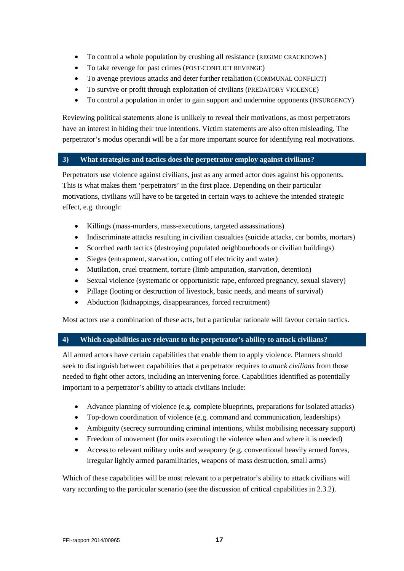- To control a whole population by crushing all resistance (REGIME CRACKDOWN)
- To take revenge for past crimes (POST-CONFLICT REVENGE)
- To avenge previous attacks and deter further retaliation (COMMUNAL CONFLICT)
- To survive or profit through exploitation of civilians (PREDATORY VIOLENCE)
- To control a population in order to gain support and undermine opponents (INSURGENCY)

Reviewing political statements alone is unlikely to reveal their motivations, as most perpetrators have an interest in hiding their true intentions. Victim statements are also often misleading. The perpetrator's modus operandi will be a far more important source for identifying real motivations.

### **3) What strategies and tactics does the perpetrator employ against civilians?**

Perpetrators use violence against civilians, just as any armed actor does against his opponents. This is what makes them 'perpetrators' in the first place. Depending on their particular motivations, civilians will have to be targeted in certain ways to achieve the intended strategic effect, e.g. through:

- Killings (mass-murders, mass-executions, targeted assassinations)
- Indiscriminate attacks resulting in civilian casualties (suicide attacks, car bombs, mortars)
- Scorched earth tactics (destroying populated neighbourhoods or civilian buildings)
- Sieges (entrapment, starvation, cutting off electricity and water)
- Mutilation, cruel treatment, torture (limb amputation, starvation, detention)
- Sexual violence (systematic or opportunistic rape, enforced pregnancy, sexual slavery)
- Pillage (looting or destruction of livestock, basic needs, and means of survival)
- Abduction (kidnappings, disappearances, forced recruitment)

Most actors use a combination of these acts, but a particular rationale will favour certain tactics.

## **4) Which capabilities are relevant to the perpetrator's ability to attack civilians?**

All armed actors have certain capabilities that enable them to apply violence. Planners should seek to distinguish between capabilities that a perpetrator requires to *attack civilians* from those needed to fight other actors, including an intervening force. Capabilities identified as potentially important to a perpetrator's ability to attack civilians include:

- Advance planning of violence (e.g. complete blueprints, preparations for isolated attacks)
- Top-down coordination of violence (e.g. command and communication, leaderships)
- Ambiguity (secrecy surrounding criminal intentions, whilst mobilising necessary support)
- Freedom of movement (for units executing the violence when and where it is needed)
- Access to relevant military units and weaponry (e.g. conventional heavily armed forces, irregular lightly armed paramilitaries, weapons of mass destruction, small arms)

Which of these capabilities will be most relevant to a perpetrator's ability to attack civilians will vary according to the particular scenario (see the discussion of critical capabilities in 2.3.2).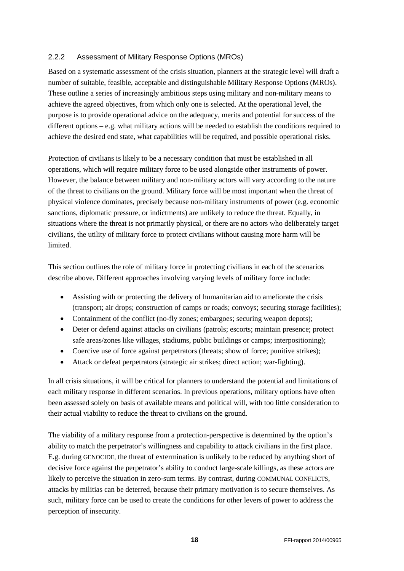### <span id="page-19-0"></span>2.2.2 Assessment of Military Response Options (MROs)

Based on a systematic assessment of the crisis situation, planners at the strategic level will draft a number of suitable, feasible, acceptable and distinguishable Military Response Options (MROs). These outline a series of increasingly ambitious steps using military and non-military means to achieve the agreed objectives, from which only one is selected. At the operational level, the purpose is to provide operational advice on the adequacy, merits and potential for success of the different options – e.g. what military actions will be needed to establish the conditions required to achieve the desired end state, what capabilities will be required, and possible operational risks.

Protection of civilians is likely to be a necessary condition that must be established in all operations, which will require military force to be used alongside other instruments of power. However, the balance between military and non-military actors will vary according to the nature of the threat to civilians on the ground. Military force will be most important when the threat of physical violence dominates, precisely because non-military instruments of power (e.g. economic sanctions, diplomatic pressure, or indictments) are unlikely to reduce the threat. Equally, in situations where the threat is not primarily physical, or there are no actors who deliberately target civilians, the utility of military force to protect civilians without causing more harm will be limited.

This section outlines the role of military force in protecting civilians in each of the scenarios describe above. Different approaches involving varying levels of military force include:

- Assisting with or protecting the delivery of humanitarian aid to ameliorate the crisis (transport; air drops; construction of camps or roads; convoys; securing storage facilities);
- Containment of the conflict (no-fly zones; embargoes; securing weapon depots);
- Deter or defend against attacks on civilians (patrols; escorts; maintain presence; protect safe areas/zones like villages, stadiums, public buildings or camps; interpositioning);
- Coercive use of force against perpetrators (threats; show of force; punitive strikes);
- Attack or defeat perpetrators (strategic air strikes; direct action; war-fighting).

In all crisis situations, it will be critical for planners to understand the potential and limitations of each military response in different scenarios. In previous operations, military options have often been assessed solely on basis of available means and political will, with too little consideration to their actual viability to reduce the threat to civilians on the ground.

The viability of a military response from a protection-perspective is determined by the option's ability to match the perpetrator's willingness and capability to attack civilians in the first place. E.g. during GENOCIDE, the threat of extermination is unlikely to be reduced by anything short of decisive force against the perpetrator's ability to conduct large-scale killings, as these actors are likely to perceive the situation in zero-sum terms. By contrast, during COMMUNAL CONFLICTS, attacks by militias can be deterred, because their primary motivation is to secure themselves. As such, military force can be used to create the conditions for other levers of power to address the perception of insecurity.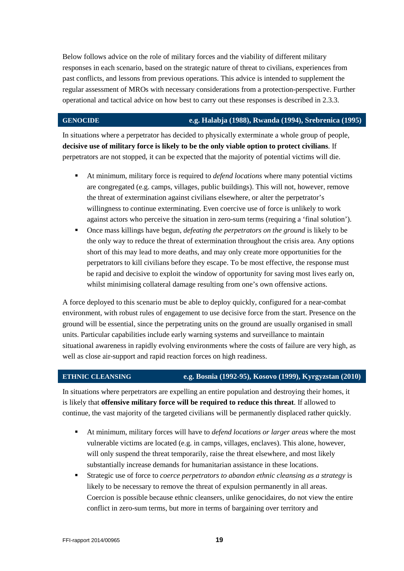Below follows advice on the role of military forces and the viability of different military responses in each scenario, based on the strategic nature of threat to civilians, experiences from past conflicts, and lessons from previous operations. This advice is intended to supplement the regular assessment of MROs with necessary considerations from a protection-perspective. Further operational and tactical advice on how best to carry out these responses is described in 2.3.3.

#### **GENOCIDE e.g. Halabja (1988), Rwanda (1994), Srebrenica (1995)**

In situations where a perpetrator has decided to physically exterminate a whole group of people, **decisive use of military force is likely to be the only viable option to protect civilians**. If perpetrators are not stopped, it can be expected that the majority of potential victims will die.

- At minimum, military force is required to *defend locations* where many potential victims are congregated (e.g. camps, villages, public buildings). This will not, however, remove the threat of extermination against civilians elsewhere, or alter the perpetrator's willingness to continue exterminating. Even coercive use of force is unlikely to work against actors who perceive the situation in zero-sum terms (requiring a 'final solution').
- Once mass killings have begun, *defeating the perpetrators on the ground* is likely to be the only way to reduce the threat of extermination throughout the crisis area. Any options short of this may lead to more deaths, and may only create more opportunities for the perpetrators to kill civilians before they escape. To be most effective, the response must be rapid and decisive to exploit the window of opportunity for saving most lives early on, whilst minimising collateral damage resulting from one's own offensive actions.

A force deployed to this scenario must be able to deploy quickly, configured for a near-combat environment, with robust rules of engagement to use decisive force from the start. Presence on the ground will be essential, since the perpetrating units on the ground are usually organised in small units. Particular capabilities include early warning systems and surveillance to maintain situational awareness in rapidly evolving environments where the costs of failure are very high, as well as close air-support and rapid reaction forces on high readiness.

#### **ETHNIC CLEANSING e.g. Bosnia (1992-95), Kosovo (1999), Kyrgyzstan (2010)**

In situations where perpetrators are expelling an entire population and destroying their homes, it is likely that **offensive military force will be required to reduce this threat**. If allowed to continue, the vast majority of the targeted civilians will be permanently displaced rather quickly.

- At minimum, military forces will have to *defend locations or larger areas* where the most vulnerable victims are located (e.g. in camps, villages, enclaves). This alone, however, will only suspend the threat temporarily, raise the threat elsewhere, and most likely substantially increase demands for humanitarian assistance in these locations.
- Strategic use of force to *coerce perpetrators to abandon ethnic cleansing as a strategy* is likely to be necessary to remove the threat of expulsion permanently in all areas. Coercion is possible because ethnic cleansers, unlike genocidaires, do not view the entire conflict in zero-sum terms, but more in terms of bargaining over territory and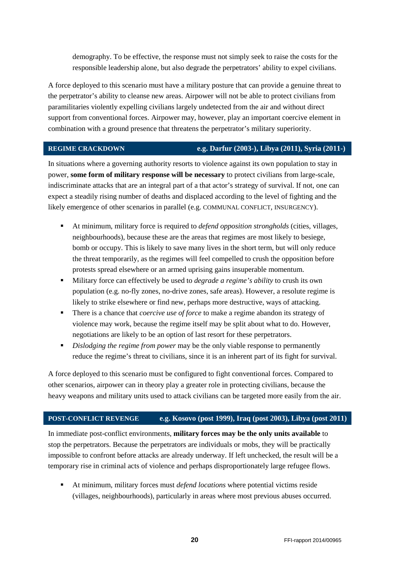demography. To be effective, the response must not simply seek to raise the costs for the responsible leadership alone, but also degrade the perpetrators' ability to expel civilians.

A force deployed to this scenario must have a military posture that can provide a genuine threat to the perpetrator's ability to cleanse new areas. Airpower will not be able to protect civilians from paramilitaries violently expelling civilians largely undetected from the air and without direct support from conventional forces. Airpower may, however, play an important coercive element in combination with a ground presence that threatens the perpetrator's military superiority.

#### **REGIME CRACKDOWN e.g. Darfur (2003-), Libya (2011), Syria (2011-)**

In situations where a governing authority resorts to violence against its own population to stay in power, **some form of military response will be necessary** to protect civilians from large-scale, indiscriminate attacks that are an integral part of a that actor's strategy of survival. If not, one can expect a steadily rising number of deaths and displaced according to the level of fighting and the likely emergence of other scenarios in parallel (e.g. COMMUNAL CONFLICT, INSURGENCY).

- At minimum, military force is required to *defend opposition strongholds* (cities, villages, neighbourhoods), because these are the areas that regimes are most likely to besiege, bomb or occupy. This is likely to save many lives in the short term, but will only reduce the threat temporarily, as the regimes will feel compelled to crush the opposition before protests spread elsewhere or an armed uprising gains insuperable momentum.
- Military force can effectively be used to *degrade a regime's ability* to crush its own population (e.g. no-fly zones, no-drive zones, safe areas). However, a resolute regime is likely to strike elsewhere or find new, perhaps more destructive, ways of attacking.
- **There is a chance that** *coercive use of force* to make a regime abandon its strategy of violence may work, because the regime itself may be split about what to do. However, negotiations are likely to be an option of last resort for these perpetrators.
- *Dislodging the regime from power* may be the only viable response to permanently reduce the regime's threat to civilians, since it is an inherent part of its fight for survival.

A force deployed to this scenario must be configured to fight conventional forces. Compared to other scenarios, airpower can in theory play a greater role in protecting civilians, because the heavy weapons and military units used to attack civilians can be targeted more easily from the air.

### **POST-CONFLICT REVENGE e.g. Kosovo (post 1999), Iraq (post 2003), Libya (post 2011)**

In immediate post-conflict environments, **military forces may be the only units available** to stop the perpetrators. Because the perpetrators are individuals or mobs, they will be practically impossible to confront before attacks are already underway. If left unchecked, the result will be a temporary rise in criminal acts of violence and perhaps disproportionately large refugee flows.

 At minimum, military forces must *defend locations* where potential victims reside (villages, neighbourhoods), particularly in areas where most previous abuses occurred.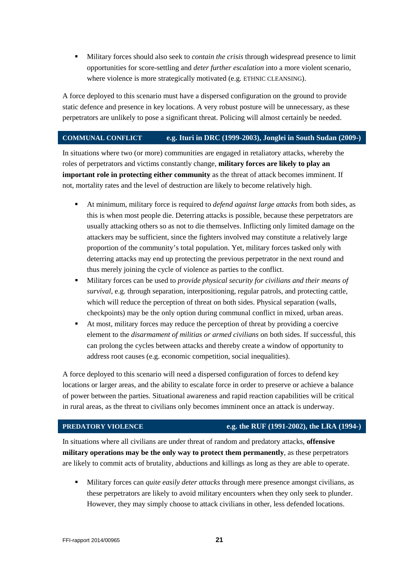Military forces should also seek to *contain the crisis* through widespread presence to limit opportunities for score-settling and *deter further escalation* into a more violent scenario, where violence is more strategically motivated (e.g. ETHNIC CLEANSING).

A force deployed to this scenario must have a dispersed configuration on the ground to provide static defence and presence in key locations. A very robust posture will be unnecessary, as these perpetrators are unlikely to pose a significant threat. Policing will almost certainly be needed.

#### **COMMUNAL CONFLICT e.g. Ituri in DRC (1999-2003), Jonglei in South Sudan (2009-)**

In situations where two (or more) communities are engaged in retaliatory attacks, whereby the roles of perpetrators and victims constantly change, **military forces are likely to play an important role in protecting either community** as the threat of attack becomes imminent. If not, mortality rates and the level of destruction are likely to become relatively high.

- At minimum, military force is required to *defend against large attacks* from both sides, as this is when most people die. Deterring attacks is possible, because these perpetrators are usually attacking others so as not to die themselves. Inflicting only limited damage on the attackers may be sufficient, since the fighters involved may constitute a relatively large proportion of the community's total population. Yet, military forces tasked only with deterring attacks may end up protecting the previous perpetrator in the next round and thus merely joining the cycle of violence as parties to the conflict.
- Military forces can be used to *provide physical security for civilians and their means of survival*, e.g. through separation, interpositioning, regular patrols, and protecting cattle, which will reduce the perception of threat on both sides. Physical separation (walls, checkpoints) may be the only option during communal conflict in mixed, urban areas.
- At most, military forces may reduce the perception of threat by providing a coercive element to the *disarmament of militias or armed civilians* on both sides. If successful, this can prolong the cycles between attacks and thereby create a window of opportunity to address root causes (e.g. economic competition, social inequalities).

A force deployed to this scenario will need a dispersed configuration of forces to defend key locations or larger areas, and the ability to escalate force in order to preserve or achieve a balance of power between the parties. Situational awareness and rapid reaction capabilities will be critical in rural areas, as the threat to civilians only becomes imminent once an attack is underway.

#### **PREDATORY VIOLENCE e.g. the RUF (1991-2002), the LRA (1994-)**

In situations where all civilians are under threat of random and predatory attacks, **offensive military operations may be the only way to protect them permanently**, as these perpetrators are likely to commit acts of brutality, abductions and killings as long as they are able to operate.

 Military forces can *quite easily deter attacks* through mere presence amongst civilians, as these perpetrators are likely to avoid military encounters when they only seek to plunder. However, they may simply choose to attack civilians in other, less defended locations.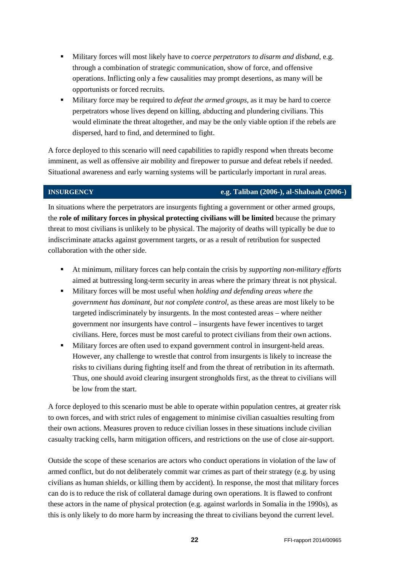- Military forces will most likely have to *coerce perpetrators to disarm and disband*, e.g. through a combination of strategic communication, show of force, and offensive operations. Inflicting only a few causalities may prompt desertions, as many will be opportunists or forced recruits.
- Military force may be required to *defeat the armed groups*, as it may be hard to coerce perpetrators whose lives depend on killing, abducting and plundering civilians. This would eliminate the threat altogether, and may be the only viable option if the rebels are dispersed, hard to find, and determined to fight.

A force deployed to this scenario will need capabilities to rapidly respond when threats become imminent, as well as offensive air mobility and firepower to pursue and defeat rebels if needed. Situational awareness and early warning systems will be particularly important in rural areas.

#### **INSURGENCY e.g. Taliban (2006-), al-Shabaab (2006-)**

In situations where the perpetrators are insurgents fighting a government or other armed groups, the **role of military forces in physical protecting civilians will be limited** because the primary threat to most civilians is unlikely to be physical. The majority of deaths will typically be due to indiscriminate attacks against government targets, or as a result of retribution for suspected collaboration with the other side.

- At minimum, military forces can help contain the crisis by *supporting non-military efforts* aimed at buttressing long-term security in areas where the primary threat is not physical.
- Military forces will be most useful when *holding and defending areas where the government has dominant, but not complete control*, as these areas are most likely to be targeted indiscriminately by insurgents. In the most contested areas – where neither government nor insurgents have control – insurgents have fewer incentives to target civilians. Here, forces must be most careful to protect civilians from their own actions.
- Military forces are often used to expand government control in insurgent-held areas. However, any challenge to wrestle that control from insurgents is likely to increase the risks to civilians during fighting itself and from the threat of retribution in its aftermath. Thus, one should avoid clearing insurgent strongholds first, as the threat to civilians will be low from the start.

A force deployed to this scenario must be able to operate within population centres, at greater risk to own forces, and with strict rules of engagement to minimise civilian casualties resulting from their own actions. Measures proven to reduce civilian losses in these situations include civilian casualty tracking cells, harm mitigation officers, and restrictions on the use of close air-support.

Outside the scope of these scenarios are actors who conduct operations in violation of the law of armed conflict, but do not deliberately commit war crimes as part of their strategy (e.g. by using civilians as human shields, or killing them by accident). In response, the most that military forces can do is to reduce the risk of collateral damage during own operations. It is flawed to confront these actors in the name of physical protection (e.g. against warlords in Somalia in the 1990s), as this is only likely to do more harm by increasing the threat to civilians beyond the current level.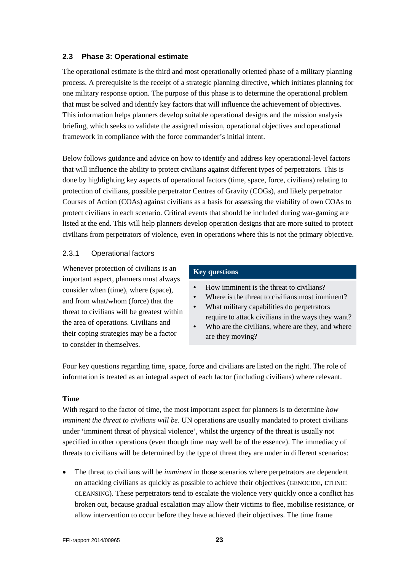#### <span id="page-24-0"></span>**2.3 Phase 3: Operational estimate**

The operational estimate is the third and most operationally oriented phase of a military planning process. A prerequisite is the receipt of a strategic planning directive, which initiates planning for one military response option. The purpose of this phase is to determine the operational problem that must be solved and identify key factors that will influence the achievement of objectives. This information helps planners develop suitable operational designs and the mission analysis briefing, which seeks to validate the assigned mission, operational objectives and operational framework in compliance with the force commander's initial intent.

Below follows guidance and advice on how to identify and address key operational-level factors that will influence the ability to protect civilians against different types of perpetrators. This is done by highlighting key aspects of operational factors (time, space, force, civilians) relating to protection of civilians, possible perpetrator Centres of Gravity (COGs), and likely perpetrator Courses of Action (COAs) against civilians as a basis for assessing the viability of own COAs to protect civilians in each scenario. Critical events that should be included during war-gaming are listed at the end. This will help planners develop operation designs that are more suited to protect civilians from perpetrators of violence, even in operations where this is not the primary objective.

### <span id="page-24-1"></span>2.3.1 Operational factors

Whenever protection of civilians is an important aspect, planners must always consider when (time), where (space), and from what/whom (force) that the threat to civilians will be greatest within the area of operations. Civilians and their coping strategies may be a factor to consider in themselves.

### **Key questions**

- How imminent is the threat to civilians?
- Where is the threat to civilians most imminent?
- What military capabilities do perpetrators require to attack civilians in the ways they want?
- Who are the civilians, where are they, and where are they moving?

Four key questions regarding time, space, force and civilians are listed on the right. The role of information is treated as an integral aspect of each factor (including civilians) where relevant.

#### **Time**

With regard to the factor of time, the most important aspect for planners is to determine *how imminent the threat to civilians will be*. UN operations are usually mandated to protect civilians under 'imminent threat of physical violence', whilst the urgency of the threat is usually not specified in other operations (even though time may well be of the essence). The immediacy of threats to civilians will be determined by the type of threat they are under in different scenarios:

• The threat to civilians will be *imminent* in those scenarios where perpetrators are dependent on attacking civilians as quickly as possible to achieve their objectives (GENOCIDE, ETHNIC CLEANSING). These perpetrators tend to escalate the violence very quickly once a conflict has broken out, because gradual escalation may allow their victims to flee, mobilise resistance, or allow intervention to occur before they have achieved their objectives. The time frame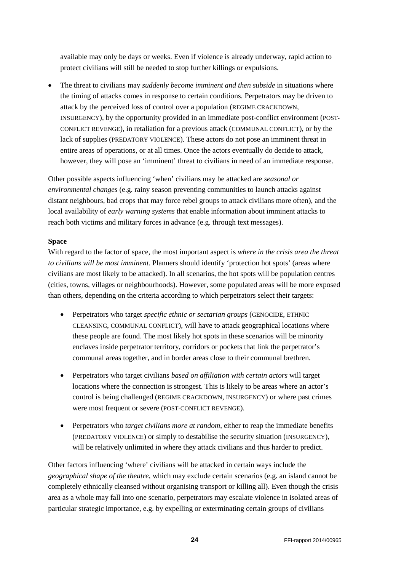available may only be days or weeks. Even if violence is already underway, rapid action to protect civilians will still be needed to stop further killings or expulsions.

• The threat to civilians may *suddenly become imminent and then subside* in situations where the timing of attacks comes in response to certain conditions. Perpetrators may be driven to attack by the perceived loss of control over a population (REGIME CRACKDOWN, INSURGENCY), by the opportunity provided in an immediate post-conflict environment (POST-CONFLICT REVENGE), in retaliation for a previous attack (COMMUNAL CONFLICT), or by the lack of supplies (PREDATORY VIOLENCE). These actors do not pose an imminent threat in entire areas of operations, or at all times. Once the actors eventually do decide to attack, however, they will pose an 'imminent' threat to civilians in need of an immediate response.

Other possible aspects influencing 'when' civilians may be attacked are *seasonal or environmental changes* (e.g. rainy season preventing communities to launch attacks against distant neighbours, bad crops that may force rebel groups to attack civilians more often), and the local availability of *early warning systems* that enable information about imminent attacks to reach both victims and military forces in advance (e.g. through text messages).

### **Space**

With regard to the factor of space, the most important aspect is *where in the crisis area the threat to civilians will be most imminent*. Planners should identify 'protection hot spots' (areas where civilians are most likely to be attacked). In all scenarios, the hot spots will be population centres (cities, towns, villages or neighbourhoods). However, some populated areas will be more exposed than others, depending on the criteria according to which perpetrators select their targets:

- Perpetrators who target *specific ethnic or sectarian groups* (GENOCIDE, ETHNIC CLEANSING, COMMUNAL CONFLICT), will have to attack geographical locations where these people are found. The most likely hot spots in these scenarios will be minority enclaves inside perpetrator territory, corridors or pockets that link the perpetrator's communal areas together, and in border areas close to their communal brethren.
- Perpetrators who target civilians *based on affiliation with certain actors* will target locations where the connection is strongest. This is likely to be areas where an actor's control is being challenged (REGIME CRACKDOWN, INSURGENCY) or where past crimes were most frequent or severe (POST-CONFLICT REVENGE).
- Perpetrators who *target civilians more at random*, either to reap the immediate benefits (PREDATORY VIOLENCE) or simply to destabilise the security situation (INSURGENCY), will be relatively unlimited in where they attack civilians and thus harder to predict.

Other factors influencing 'where' civilians will be attacked in certain ways include the *geographical shape of the theatre*, which may exclude certain scenarios (e.g. an island cannot be completely ethnically cleansed without organising transport or killing all). Even though the crisis area as a whole may fall into one scenario, perpetrators may escalate violence in isolated areas of particular strategic importance, e.g. by expelling or exterminating certain groups of civilians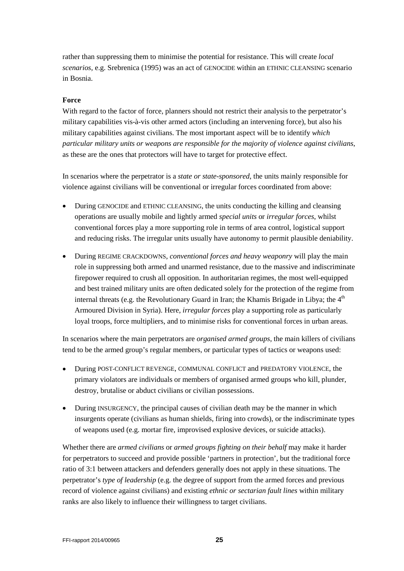rather than suppressing them to minimise the potential for resistance. This will create *local scenarios*, e.g. Srebrenica (1995) was an act of GENOCIDE within an ETHNIC CLEANSING scenario in Bosnia.

#### **Force**

With regard to the factor of force, planners should not restrict their analysis to the perpetrator's military capabilities vis-à-vis other armed actors (including an intervening force), but also his military capabilities against civilians. The most important aspect will be to identify *which particular military units or weapons are responsible for the majority of violence against civilians*, as these are the ones that protectors will have to target for protective effect.

In scenarios where the perpetrator is a *state or state-sponsored*, the units mainly responsible for violence against civilians will be conventional or irregular forces coordinated from above:

- During GENOCIDE and ETHNIC CLEANSING, the units conducting the killing and cleansing operations are usually mobile and lightly armed *special units* or *irregular forces*, whilst conventional forces play a more supporting role in terms of area control, logistical support and reducing risks. The irregular units usually have autonomy to permit plausible deniability.
- During REGIME CRACKDOWNS, *conventional forces and heavy weaponry* will play the main role in suppressing both armed and unarmed resistance, due to the massive and indiscriminate firepower required to crush all opposition. In authoritarian regimes, the most well-equipped and best trained military units are often dedicated solely for the protection of the regime from internal threats (e.g. the Revolutionary Guard in Iran; the Khamis Brigade in Libya; the  $4<sup>th</sup>$ Armoured Division in Syria). Here, *irregular forces* play a supporting role as particularly loyal troops, force multipliers, and to minimise risks for conventional forces in urban areas.

In scenarios where the main perpetrators are *organised armed groups*, the main killers of civilians tend to be the armed group's regular members, or particular types of tactics or weapons used:

- During POST-CONFLICT REVENGE, COMMUNAL CONFLICT and PREDATORY VIOLENCE, the primary violators are individuals or members of organised armed groups who kill, plunder, destroy, brutalise or abduct civilians or civilian possessions.
- During INSURGENCY, the principal causes of civilian death may be the manner in which insurgents operate (civilians as human shields, firing into crowds), or the indiscriminate types of weapons used (e.g. mortar fire, improvised explosive devices, or suicide attacks).

Whether there are *armed civilians* or *armed groups fighting on their behalf* may make it harder for perpetrators to succeed and provide possible 'partners in protection', but the traditional force ratio of 3:1 between attackers and defenders generally does not apply in these situations. The perpetrator's *type of leadership* (e.g. the degree of support from the armed forces and previous record of violence against civilians) and existing *ethnic or sectarian fault lines* within military ranks are also likely to influence their willingness to target civilians.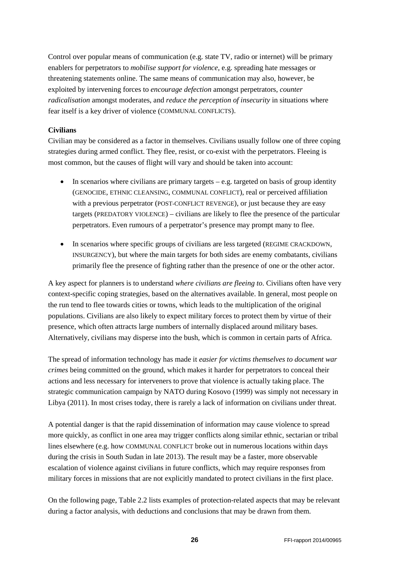Control over popular means of communication (e.g. state TV, radio or internet) will be primary enablers for perpetrators to *mobilise support for violence,* e.g. spreading hate messages or threatening statements online. The same means of communication may also, however, be exploited by intervening forces to *encourage defection* amongst perpetrators, *counter radicalisation* amongst moderates, and *reduce the perception of insecurity* in situations where fear itself is a key driver of violence (COMMUNAL CONFLICTS).

### **Civilians**

Civilian may be considered as a factor in themselves. Civilians usually follow one of three coping strategies during armed conflict. They flee, resist, or co-exist with the perpetrators. Fleeing is most common, but the causes of flight will vary and should be taken into account:

- In scenarios where civilians are primary targets  $-$  e.g. targeted on basis of group identity (GENOCIDE, ETHNIC CLEANSING, COMMUNAL CONFLICT), real or perceived affiliation with a previous perpetrator (POST-CONFLICT REVENGE), or just because they are easy targets (PREDATORY VIOLENCE) – civilians are likely to flee the presence of the particular perpetrators. Even rumours of a perpetrator's presence may prompt many to flee.
- In scenarios where specific groups of civilians are less targeted (REGIME CRACKDOWN, INSURGENCY), but where the main targets for both sides are enemy combatants, civilians primarily flee the presence of fighting rather than the presence of one or the other actor.

A key aspect for planners is to understand *where civilians are fleeing to*. Civilians often have very context-specific coping strategies, based on the alternatives available. In general, most people on the run tend to flee towards cities or towns, which leads to the multiplication of the original populations. Civilians are also likely to expect military forces to protect them by virtue of their presence, which often attracts large numbers of internally displaced around military bases. Alternatively, civilians may disperse into the bush, which is common in certain parts of Africa.

The spread of information technology has made it *easier for victims themselves to document war crimes* being committed on the ground, which makes it harder for perpetrators to conceal their actions and less necessary for interveners to prove that violence is actually taking place. The strategic communication campaign by NATO during Kosovo (1999) was simply not necessary in Libya (2011). In most crises today, there is rarely a lack of information on civilians under threat.

A potential danger is that the rapid dissemination of information may cause violence to spread more quickly, as conflict in one area may trigger conflicts along similar ethnic, sectarian or tribal lines elsewhere (e.g. how COMMUNAL CONFLICT broke out in numerous locations within days during the crisis in South Sudan in late 2013). The result may be a faster, more observable escalation of violence against civilians in future conflicts, which may require responses from military forces in missions that are not explicitly mandated to protect civilians in the first place.

On the following page, Table 2.2 lists examples of protection-related aspects that may be relevant during a factor analysis, with deductions and conclusions that may be drawn from them.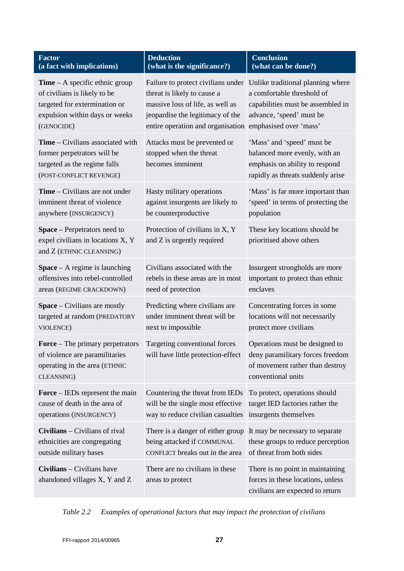| Factor                                                                                                                                                   | <b>Deduction</b>                                                                                                                                                | <b>Conclusion</b>                                                                                                                                                   |
|----------------------------------------------------------------------------------------------------------------------------------------------------------|-----------------------------------------------------------------------------------------------------------------------------------------------------------------|---------------------------------------------------------------------------------------------------------------------------------------------------------------------|
| (a fact with implications)                                                                                                                               | (what is the significance?)                                                                                                                                     | (what can be done?)                                                                                                                                                 |
| <b>Time</b> $- A$ specific ethnic group<br>of civilians is likely to be<br>targeted for extermination or<br>expulsion within days or weeks<br>(GENOCIDE) | threat is likely to cause a<br>massive loss of life, as well as<br>jeopardise the legitimacy of the<br>entire operation and organisation emphasised over 'mass' | Failure to protect civilians under Unlike traditional planning where<br>a comfortable threshold of<br>capabilities must be assembled in<br>advance, 'speed' must be |
| <b>Time</b> – Civilians associated with<br>former perpetrators will be<br>targeted as the regime falls<br>(POST-CONFLICT REVENGE)                        | Attacks must be prevented or<br>stopped when the threat<br>becomes imminent                                                                                     | 'Mass' and 'speed' must be<br>balanced more evenly, with an<br>emphasis on ability to respond<br>rapidly as threats suddenly arise                                  |
| $Time - Civilians$ are not under                                                                                                                         | Hasty military operations                                                                                                                                       | 'Mass' is far more important than                                                                                                                                   |
| imminent threat of violence                                                                                                                              | against insurgents are likely to                                                                                                                                | 'speed' in terms of protecting the                                                                                                                                  |
| anywhere (INSURGENCY)                                                                                                                                    | be counterproductive                                                                                                                                            | population                                                                                                                                                          |
| Space – Perpetrators need to<br>expel civilians in locations X, Y<br>and Z (ETHNIC CLEANSING)                                                            | Protection of civilians in X, Y<br>and Z is urgently required                                                                                                   | These key locations should be<br>prioritised above others                                                                                                           |
| <b>Space</b> – A regime is launching                                                                                                                     | Civilians associated with the                                                                                                                                   | Insurgent strongholds are more                                                                                                                                      |
| offensives into rebel-controlled                                                                                                                         | rebels in these areas are in most                                                                                                                               | important to protect than ethnic                                                                                                                                    |
| areas (REGIME CRACKDOWN)                                                                                                                                 | need of protection                                                                                                                                              | enclaves                                                                                                                                                            |
| $Space - Civilians are mostly$                                                                                                                           | Predicting where civilians are                                                                                                                                  | Concentrating forces in some                                                                                                                                        |
| targeted at random (PREDATORY                                                                                                                            | under imminent threat will be                                                                                                                                   | locations will not necessarily                                                                                                                                      |
| VIOLENCE)                                                                                                                                                | next to impossible                                                                                                                                              | protect more civilians                                                                                                                                              |
| <b>Force</b> – The primary perpetrators<br>of violence are paramilitaries<br>operating in the area (ETHNIC<br>CLEANSING)                                 | Targeting conventional forces                                                                                                                                   | Operations must be designed to<br>will have little protection-effect deny paramilitary forces freedom<br>of movement rather than destroy<br>conventional units      |
| <b>Force</b> – IEDs represent the main                                                                                                                   | Countering the threat from IEDs                                                                                                                                 | To protect, operations should                                                                                                                                       |
| cause of death in the area of                                                                                                                            | will be the single most effective                                                                                                                               | target IED factories rather the                                                                                                                                     |
| operations (INSURGENCY)                                                                                                                                  | way to reduce civilian casualties                                                                                                                               | insurgents themselves                                                                                                                                               |
| Civilians - Civilians of rival                                                                                                                           | There is a danger of either group                                                                                                                               | It may be necessary to separate                                                                                                                                     |
| ethnicities are congregating                                                                                                                             | being attacked if COMMUNAL                                                                                                                                      | these groups to reduce perception                                                                                                                                   |
| outside military bases                                                                                                                                   | CONFLICT breaks out in the area                                                                                                                                 | of threat from both sides                                                                                                                                           |
| Civilians – Civilians have<br>abandoned villages X, Y and Z                                                                                              | There are no civilians in these<br>areas to protect                                                                                                             | There is no point in maintaining<br>forces in these locations, unless<br>civilians are expected to return                                                           |

*Table 2.2 Examples of operational factors that may impact the protection of civilians*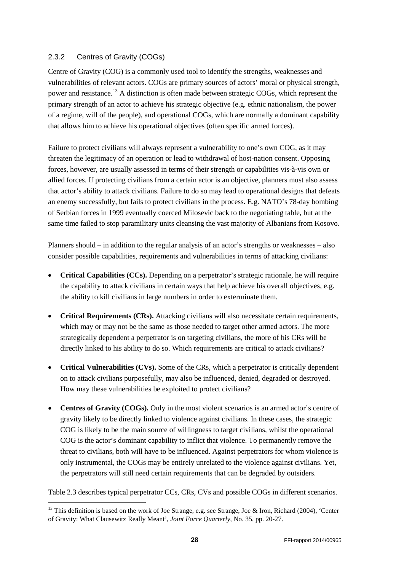### <span id="page-29-0"></span>2.3.2 Centres of Gravity (COGs)

Centre of Gravity (COG) is a commonly used tool to identify the strengths, weaknesses and vulnerabilities of relevant actors. COGs are primary sources of actors' moral or physical strength, power and resistance.<sup>[13](#page-29-1)</sup> A distinction is often made between strategic COGs, which represent the primary strength of an actor to achieve his strategic objective (e.g. ethnic nationalism, the power of a regime, will of the people), and operational COGs, which are normally a dominant capability that allows him to achieve his operational objectives (often specific armed forces).

Failure to protect civilians will always represent a vulnerability to one's own COG, as it may threaten the legitimacy of an operation or lead to withdrawal of host-nation consent. Opposing forces, however, are usually assessed in terms of their strength or capabilities vis-à-vis own or allied forces. If protecting civilians from a certain actor is an objective, planners must also assess that actor's ability to attack civilians. Failure to do so may lead to operational designs that defeats an enemy successfully, but fails to protect civilians in the process. E.g. NATO's 78-day bombing of Serbian forces in 1999 eventually coerced Milosevic back to the negotiating table, but at the same time failed to stop paramilitary units cleansing the vast majority of Albanians from Kosovo.

Planners should – in addition to the regular analysis of an actor's strengths or weaknesses – also consider possible capabilities, requirements and vulnerabilities in terms of attacking civilians:

- **Critical Capabilities (CCs).** Depending on a perpetrator's strategic rationale, he will require the capability to attack civilians in certain ways that help achieve his overall objectives, e.g. the ability to kill civilians in large numbers in order to exterminate them.
- **Critical Requirements (CRs).** Attacking civilians will also necessitate certain requirements, which may or may not be the same as those needed to target other armed actors. The more strategically dependent a perpetrator is on targeting civilians, the more of his CRs will be directly linked to his ability to do so. Which requirements are critical to attack civilians?
- **Critical Vulnerabilities (CVs).** Some of the CRs, which a perpetrator is critically dependent on to attack civilians purposefully, may also be influenced, denied, degraded or destroyed. How may these vulnerabilities be exploited to protect civilians?
- **Centres of Gravity (COGs).** Only in the most violent scenarios is an armed actor's centre of gravity likely to be directly linked to violence against civilians. In these cases, the strategic COG is likely to be the main source of willingness to target civilians, whilst the operational COG is the actor's dominant capability to inflict that violence. To permanently remove the threat to civilians, both will have to be influenced. Against perpetrators for whom violence is only instrumental, the COGs may be entirely unrelated to the violence against civilians. Yet, the perpetrators will still need certain requirements that can be degraded by outsiders.

Table 2.3 describes typical perpetrator CCs, CRs, CVs and possible COGs in different scenarios.

<span id="page-29-1"></span><sup>&</sup>lt;sup>13</sup> This definition is based on the work of Joe Strange, e.g. see Strange, Joe & Iron, Richard (2004), 'Center of Gravity: What Clausewitz Really Meant', *Joint Force Quarterly*, No. 35, pp. 20-27.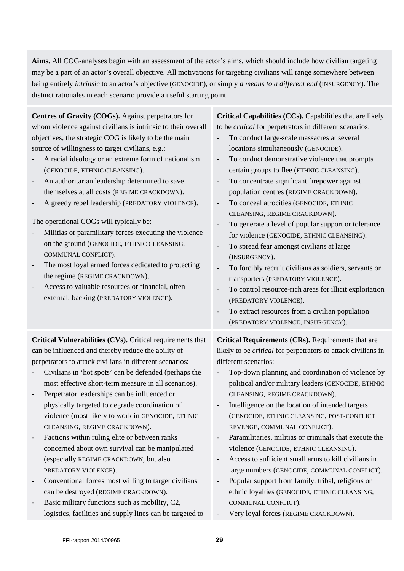**Aims.** All COG-analyses begin with an assessment of the actor's aims, which should include how civilian targeting may be a part of an actor's overall objective. All motivations for targeting civilians will range somewhere between being entirely *intrinsic* to an actor's objective (GENOCIDE), or simply *a means to a different end* (INSURGENCY). The distinct rationales in each scenario provide a useful starting point.

**Centres of Gravity (COGs).** Against perpetrators for whom violence against civilians is intrinsic to their overall objectives, the strategic COG is likely to be the main source of willingness to target civilians, e.g.: A racial ideology or an extreme form of nationalism (GENOCIDE, ETHNIC CLEANSING). - An authoritarian leadership determined to save themselves at all costs (REGIME CRACKDOWN). A greedy rebel leadership (PREDATORY VIOLENCE). The operational COGs will typically be: - Militias or paramilitary forces executing the violence on the ground (GENOCIDE, ETHNIC CLEANSING, COMMUNAL CONFLICT). The most loyal armed forces dedicated to protecting the regime (REGIME CRACKDOWN). - Access to valuable resources or financial, often external, backing (PREDATORY VIOLENCE). **Critical Capabilities (CCs).** Capabilities that are likely to be *critical* for perpetrators in different scenarios: To conduct large-scale massacres at several locations simultaneously (GENOCIDE). To conduct demonstrative violence that prompts certain groups to flee (ETHNIC CLEANSING). To concentrate significant firepower against population centres (REGIME CRACKDOWN). - To conceal atrocities (GENOCIDE, ETHNIC CLEANSING, REGIME CRACKDOWN). To generate a level of popular support or tolerance for violence (GENOCIDE, ETHNIC CLEANSING). To spread fear amongst civilians at large (INSURGENCY). To forcibly recruit civilians as soldiers, servants or transporters (PREDATORY VIOLENCE). To control resource-rich areas for illicit exploitation (PREDATORY VIOLENCE). To extract resources from a civilian population (PREDATORY VIOLENCE, INSURGENCY). **Critical Vulnerabilities (CVs).** Critical requirements that can be influenced and thereby reduce the ability of perpetrators to attack civilians in different scenarios: - Civilians in 'hot spots' can be defended (perhaps the most effective short-term measure in all scenarios). Perpetrator leaderships can be influenced or physically targeted to degrade coordination of violence (most likely to work in GENOCIDE, ETHNIC CLEANSING, REGIME CRACKDOWN). Factions within ruling elite or between ranks concerned about own survival can be manipulated (especially REGIME CRACKDOWN, but also PREDATORY VIOLENCE). Conventional forces most willing to target civilians can be destroyed (REGIME CRACKDOWN). Basic military functions such as mobility, C2, logistics, facilities and supply lines can be targeted to **Critical Requirements (CRs).** Requirements that are likely to be *critical* for perpetrators to attack civilians in different scenarios: - Top-down planning and coordination of violence by political and/or military leaders (GENOCIDE, ETHNIC CLEANSING, REGIME CRACKDOWN). Intelligence on the location of intended targets (GENOCIDE, ETHNIC CLEANSING, POST-CONFLICT REVENGE, COMMUNAL CONFLICT). Paramilitaries, militias or criminals that execute the violence (GENOCIDE, ETHNIC CLEANSING). - Access to sufficient small arms to kill civilians in large numbers (GENOCIDE, COMMUNAL CONFLICT). Popular support from family, tribal, religious or ethnic loyalties (GENOCIDE, ETHNIC CLEANSING, COMMUNAL CONFLICT). Very loyal forces (REGIME CRACKDOWN).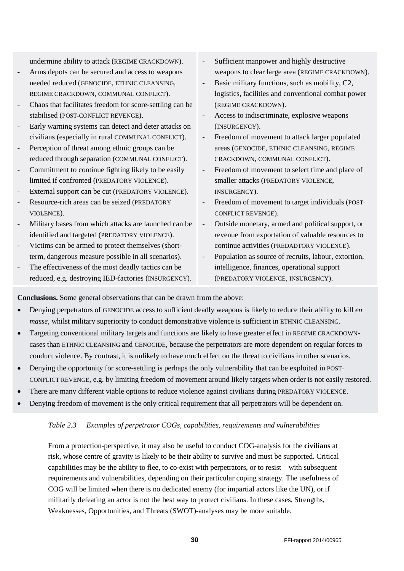undermine ability to attack (REGIME CRACKDOWN).

- Arms depots can be secured and access to weapons needed reduced (GENOCIDE, ETHNIC CLEANSING, REGIME CRACKDOWN, COMMUNAL CONFLICT).
- Chaos that facilitates freedom for score-settling can be stabilised (POST-CONFLICT REVENGE).
- Early warning systems can detect and deter attacks on civilians (especially in rural COMMUNAL CONFLICT).
- Perception of threat among ethnic groups can be reduced through separation (COMMUNAL CONFLICT).
- Commitment to continue fighting likely to be easily limited if confronted (PREDATORY VIOLENCE).
- External support can be cut (PREDATORY VIOLENCE).
- Resource-rich areas can be seized (PREDATORY VIOLENCE).
- Military bases from which attacks are launched can be identified and targeted (PREDATORY VIOLENCE).
- Victims can be armed to protect themselves (shortterm, dangerous measure possible in all scenarios).
- The effectiveness of the most deadly tactics can be reduced, e.g. destroying IED-factories (INSURGENCY).
- Sufficient manpower and highly destructive weapons to clear large area (REGIME CRACKDOWN).
- Basic military functions, such as mobility, C2, logistics, facilities and conventional combat power (REGIME CRACKDOWN).
- Access to indiscriminate, explosive weapons (INSURGENCY).
- Freedom of movement to attack larger populated areas (GENOCIDE, ETHNIC CLEANSING, REGIME CRACKDOWN, COMMUNAL CONFLICT).
- Freedom of movement to select time and place of smaller attacks (PREDATORY VIOLENCE, INSURGENCY).
- Freedom of movement to target individuals (POST-CONFLICT REVENGE).
- Outside monetary, armed and political support, or revenue from exportation of valuable resources to continue activities (PREDADTORY VIOLENCE).
- Population as source of recruits, labour, extortion, intelligence, finances, operational support (PREDATORY VIOLENCE, INSURGENCY).

**Conclusions.** Some general observations that can be drawn from the above:

- Denying perpetrators of GENOCIDE access to sufficient deadly weapons is likely to reduce their ability to kill *en masse*, whilst military superiority to conduct demonstrative violence is sufficient in ETHNIC CLEANSING.
- Targeting conventional military targets and functions are likely to have greater effect in REGIME CRACKDOWNcases than ETHNIC CLEANSING and GENOCIDE, because the perpetrators are more dependent on regular forces to conduct violence. By contrast, it is unlikely to have much effect on the threat to civilians in other scenarios.
- Denying the opportunity for score-settling is perhaps the only vulnerability that can be exploited in POST-CONFLICT REVENGE, e.g. by limiting freedom of movement around likely targets when order is not easily restored.
- There are many different viable options to reduce violence against civilians during PREDATORY VIOLENCE.
- Denying freedom of movement is the only critical requirement that all perpetrators will be dependent on.

#### *Table 2.3 Examples of perpetrator COGs, capabilities, requirements and vulnerabilities*

From a protection-perspective, it may also be useful to conduct COG-analysis for the **civilians** at risk, whose centre of gravity is likely to be their ability to survive and must be supported. Critical capabilities may be the ability to flee, to co-exist with perpetrators, or to resist – with subsequent requirements and vulnerabilities, depending on their particular coping strategy. The usefulness of COG will be limited when there is no dedicated enemy (for impartial actors like the UN), or if militarily defeating an actor is not the best way to protect civilians. In these cases, Strengths, Weaknesses, Opportunities, and Threats (SWOT)-analyses may be more suitable.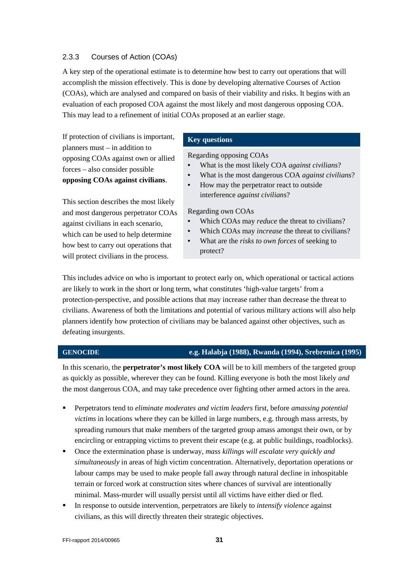#### <span id="page-32-0"></span>2.3.3 Courses of Action (COAs)

A key step of the operational estimate is to determine how best to carry out operations that will accomplish the mission effectively. This is done by developing alternative Courses of Action (COAs), which are analysed and compared on basis of their viability and risks. It begins with an evaluation of each proposed COA against the most likely and most dangerous opposing COA. This may lead to a refinement of initial COAs proposed at an earlier stage.

If protection of civilians is important, planners must – in addition to opposing COAs against own or allied forces – also consider possible **opposing COAs against civilians**.

This section describes the most likely and most dangerous perpetrator COAs against civilians in each scenario, which can be used to help determine how best to carry out operations that will protect civilians in the process.

#### **Key questions**

Regarding opposing COAs

- What is the most likely COA *against civilians*?
- What is the most dangerous COA *against civilians*?
- How may the perpetrator react to outside interference *against civilians*?

#### Regarding own COAs

- Which COAs may *reduce* the threat to civilians?
- Which COAs may *increase* the threat to civilians?
- What are the *risks to own forces* of seeking to protect?

This includes advice on who is important to protect early on, which operational or tactical actions are likely to work in the short or long term, what constitutes 'high-value targets' from a protection-perspective, and possible actions that may increase rather than decrease the threat to civilians. Awareness of both the limitations and potential of various military actions will also help planners identify how protection of civilians may be balanced against other objectives, such as defeating insurgents.

#### **GENOCIDE e.g. Halabja (1988), Rwanda (1994), Srebrenica (1995)**

In this scenario, the **perpetrator's most likely COA** will be to kill members of the targeted group as quickly as possible, wherever they can be found. Killing everyone is both the most likely *and* the most dangerous COA, and may take precedence over fighting other armed actors in the area.

- Perpetrators tend to *eliminate moderates and victim leaders* first, before *amassing potential victims* in locations where they can be killed in large numbers, e.g. through mass arrests, by spreading rumours that make members of the targeted group amass amongst their own, or by encircling or entrapping victims to prevent their escape (e.g. at public buildings, roadblocks).
- Once the extermination phase is underway, *mass killings will escalate very quickly and simultaneously* in areas of high victim concentration. Alternatively, deportation operations or labour camps may be used to make people fall away through natural decline in inhospitable terrain or forced work at construction sites where chances of survival are intentionally minimal. Mass-murder will usually persist until all victims have either died or fled.
- In response to outside intervention, perpetrators are likely to *intensify violence* against civilians, as this will directly threaten their strategic objectives.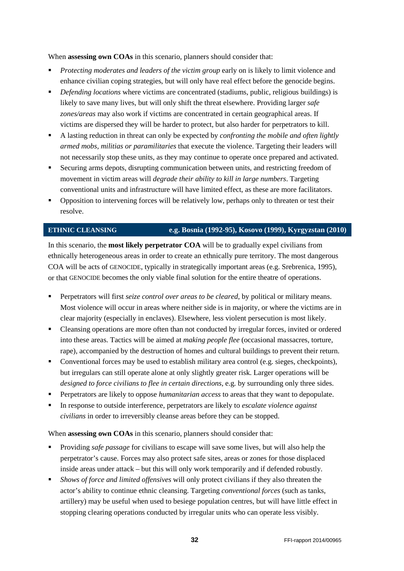When **assessing own COAs** in this scenario, planners should consider that:

- *Protecting moderates and leaders of the victim group* early on is likely to limit violence and enhance civilian coping strategies, but will only have real effect before the genocide begins.
- *Defending locations* where victims are concentrated (stadiums, public, religious buildings) is likely to save many lives, but will only shift the threat elsewhere. Providing larger *safe zones/areas* may also work if victims are concentrated in certain geographical areas. If victims are dispersed they will be harder to protect, but also harder for perpetrators to kill.
- A lasting reduction in threat can only be expected by *confronting the mobile and often lightly armed mobs, militias or paramilitaries* that execute the violence. Targeting their leaders will not necessarily stop these units, as they may continue to operate once prepared and activated.
- Securing arms depots, disrupting communication between units, and restricting freedom of movement in victim areas will *degrade their ability to kill in large numbers*. Targeting conventional units and infrastructure will have limited effect, as these are more facilitators.
- Opposition to intervening forces will be relatively low, perhaps only to threaten or test their resolve.

#### **ETHNIC CLEANSING e.g. Bosnia (1992-95), Kosovo (1999), Kyrgyzstan (2010)**

In this scenario, the **most likely perpetrator COA** will be to gradually expel civilians from ethnically heterogeneous areas in order to create an ethnically pure territory. The most dangerous COA will be acts of GENOCIDE, typically in strategically important areas (e.g. Srebrenica, 1995), or that GENOCIDE becomes the only viable final solution for the entire theatre of operations.

- Perpetrators will first *seize control over areas to be cleared*, by political or military means. Most violence will occur in areas where neither side is in majority, or where the victims are in clear majority (especially in enclaves). Elsewhere, less violent persecution is most likely.
- Cleansing operations are more often than not conducted by irregular forces, invited or ordered into these areas. Tactics will be aimed at *making people flee* (occasional massacres, torture, rape), accompanied by the destruction of homes and cultural buildings to prevent their return.
- Conventional forces may be used to establish military area control (e.g. sieges, checkpoints), but irregulars can still operate alone at only slightly greater risk. Larger operations will be *designed to force civilians to flee in certain directions*, e.g. by surrounding only three sides.
- Perpetrators are likely to oppose *humanitarian access* to areas that they want to depopulate.
- In response to outside interference, perpetrators are likely to *escalate violence against civilians* in order to irreversibly cleanse areas before they can be stopped.

When **assessing own COAs** in this scenario, planners should consider that:

- Providing *safe passage* for civilians to escape will save some lives, but will also help the perpetrator's cause. Forces may also protect safe sites, areas or zones for those displaced inside areas under attack – but this will only work temporarily and if defended robustly.
- *Shows of force and limited offensives* will only protect civilians if they also threaten the actor's ability to continue ethnic cleansing. Targeting *conventional forces* (such as tanks, artillery) may be useful when used to besiege population centres, but will have little effect in stopping clearing operations conducted by irregular units who can operate less visibly.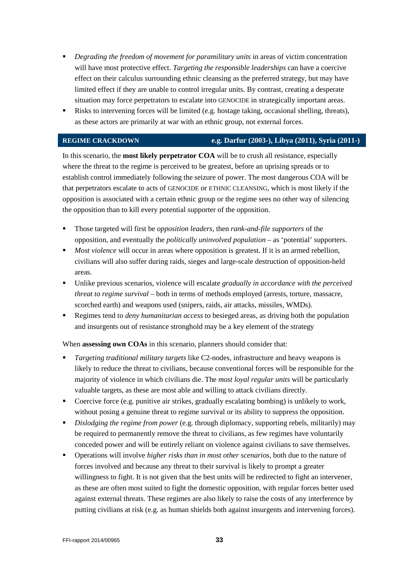- *Degrading the freedom of movement for paramilitary units* in areas of victim concentration will have most protective effect. *Targeting the responsible leaderships* can have a coercive effect on their calculus surrounding ethnic cleansing as the preferred strategy, but may have limited effect if they are unable to control irregular units. By contrast, creating a desperate situation may force perpetrators to escalate into GENOCIDE in strategically important areas.
- Risks to intervening forces will be limited (e.g. hostage taking, occasional shelling, threats), as these actors are primarily at war with an ethnic group, not external forces.

#### **REGIME CRACKDOWN e.g. Darfur (2003-), Libya (2011), Syria (2011-)**

In this scenario, the **most likely perpetrator COA** will be to crush all resistance, especially where the threat to the regime is perceived to be greatest, before an uprising spreads or to establish control immediately following the seizure of power. The most dangerous COA will be that perpetrators escalate to acts of GENOCIDE or ETHNIC CLEANSING, which is most likely if the opposition is associated with a certain ethnic group or the regime sees no other way of silencing the opposition than to kill every potential supporter of the opposition.

- Those targeted will first be *opposition leaders*, then *rank-and-file supporters* of the opposition, and eventually the *politically uninvolved population* – as 'potential' supporters.
- **Most violence** will occur in areas where opposition is greatest. If it is an armed rebellion, civilians will also suffer during raids, sieges and large-scale destruction of opposition-held areas.
- Unlike previous scenarios, violence will escalate *gradually in accordance with the perceived threat to regime survival* – both in terms of methods employed (arrests, torture, massacre, scorched earth) and weapons used (snipers, raids, air attacks, missiles, WMDs).
- Regimes tend to *deny humanitarian access* to besieged areas, as driving both the population and insurgents out of resistance stronghold may be a key element of the strategy

When **assessing own COAs** in this scenario, planners should consider that:

- *Targeting traditional military targets* like C2-nodes, infrastructure and heavy weapons is likely to reduce the threat to civilians, because conventional forces will be responsible for the majority of violence in which civilians die. The *most loyal regular units* will be particularly valuable targets, as these are most able and willing to attack civilians directly.
- Coercive force (e.g. punitive air strikes, gradually escalating bombing) is unlikely to work, without posing a genuine threat to regime survival or its ability to suppress the opposition.
- *Dislodging the regime from power* (e.g. through diplomacy, supporting rebels, militarily) may be required to permanently remove the threat to civilians, as few regimes have voluntarily conceded power and will be entirely reliant on violence against civilians to save themselves.
- Operations will involve *higher risks than in most other scenarios*, both due to the nature of forces involved and because any threat to their survival is likely to prompt a greater willingness to fight. It is not given that the best units will be redirected to fight an intervener, as these are often most suited to fight the domestic opposition, with regular forces better used against external threats. These regimes are also likely to raise the costs of any interference by putting civilians at risk (e.g. as human shields both against insurgents and intervening forces).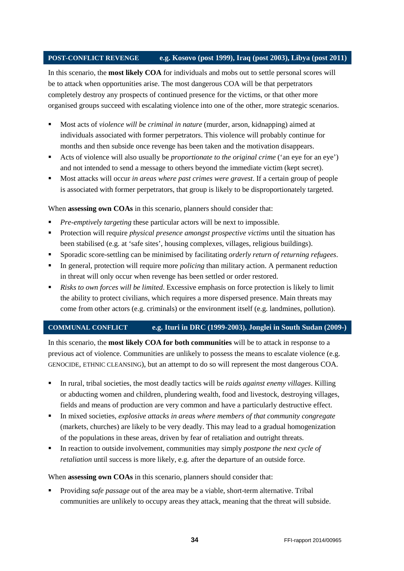#### **POST-CONFLICT REVENGE e.g. Kosovo (post 1999), Iraq (post 2003), Libya (post 2011)**

In this scenario, the **most likely COA** for individuals and mobs out to settle personal scores will be to attack when opportunities arise. The most dangerous COA will be that perpetrators completely destroy any prospects of continued presence for the victims, or that other more organised groups succeed with escalating violence into one of the other, more strategic scenarios.

- Most acts of *violence will be criminal in nature* (murder, arson, kidnapping) aimed at individuals associated with former perpetrators. This violence will probably continue for months and then subside once revenge has been taken and the motivation disappears.
- Acts of violence will also usually be *proportionate to the original crime* ('an eye for an eye') and not intended to send a message to others beyond the immediate victim (kept secret).
- Most attacks will occur *in areas where past crimes were gravest*. If a certain group of people is associated with former perpetrators, that group is likely to be disproportionately targeted.

#### When **assessing own COAs** in this scenario, planners should consider that:

- *Pre-emptively targeting* these particular actors will be next to impossible.
- Protection will require *physical presence amongst prospective victims* until the situation has been stabilised (e.g. at 'safe sites', housing complexes, villages, religious buildings).
- Sporadic score-settling can be minimised by facilitating *orderly return of returning refugees*.
- In general, protection will require more *policing* than military action. A permanent reduction in threat will only occur when revenge has been settled or order restored.
- *Risks to own forces will be limited*. Excessive emphasis on force protection is likely to limit the ability to protect civilians, which requires a more dispersed presence. Main threats may come from other actors (e.g. criminals) or the environment itself (e.g. landmines, pollution).

#### **COMMUNAL CONFLICT e.g. Ituri in DRC (1999-2003), Jonglei in South Sudan (2009-)**

In this scenario, the **most likely COA for both communities** will be to attack in response to a previous act of violence. Communities are unlikely to possess the means to escalate violence (e.g. GENOCIDE, ETHNIC CLEANSING), but an attempt to do so will represent the most dangerous COA.

- In rural, tribal societies, the most deadly tactics will be *raids against enemy villages*. Killing or abducting women and children, plundering wealth, food and livestock, destroying villages, fields and means of production are very common and have a particularly destructive effect.
- In mixed societies, *explosive attacks in areas where members of that community congregate* (markets, churches) are likely to be very deadly. This may lead to a gradual homogenization of the populations in these areas, driven by fear of retaliation and outright threats.
- In reaction to outside involvement, communities may simply *postpone the next cycle of retaliation* until success is more likely, e.g. after the departure of an outside force.

#### When **assessing own COAs** in this scenario, planners should consider that:

 Providing *safe passage* out of the area may be a viable, short-term alternative. Tribal communities are unlikely to occupy areas they attack, meaning that the threat will subside.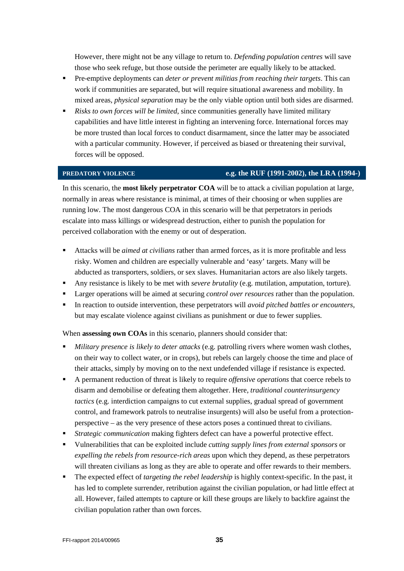However, there might not be any village to return to. *Defending population centres* will save those who seek refuge, but those outside the perimeter are equally likely to be attacked.

- Pre-emptive deployments can *deter or prevent militias from reaching their targets*. This can work if communities are separated, but will require situational awareness and mobility. In mixed areas, *physical separation* may be the only viable option until both sides are disarmed.
- *Risks to own forces will be limited*, since communities generally have limited military capabilities and have little interest in fighting an intervening force. International forces may be more trusted than local forces to conduct disarmament, since the latter may be associated with a particular community. However, if perceived as biased or threatening their survival, forces will be opposed.

#### **PREDATORY VIOLENCE e.g. the RUF (1991-2002), the LRA (1994-)**

In this scenario, the **most likely perpetrator COA** will be to attack a civilian population at large, normally in areas where resistance is minimal, at times of their choosing or when supplies are running low. The most dangerous COA in this scenario will be that perpetrators in periods escalate into mass killings or widespread destruction, either to punish the population for perceived collaboration with the enemy or out of desperation.

- Attacks will be *aimed at civilians* rather than armed forces, as it is more profitable and less risky. Women and children are especially vulnerable and 'easy' targets. Many will be abducted as transporters, soldiers, or sex slaves. Humanitarian actors are also likely targets.
- Any resistance is likely to be met with *severe brutality* (e.g. mutilation, amputation, torture).
- Larger operations will be aimed at securing *control over resources* rather than the population.
- In reaction to outside intervention, these perpetrators will *avoid pitched battles or encounters*, but may escalate violence against civilians as punishment or due to fewer supplies.

When **assessing own COAs** in this scenario, planners should consider that:

- *Military presence is likely to deter attacks* (e.g. patrolling rivers where women wash clothes, on their way to collect water, or in crops), but rebels can largely choose the time and place of their attacks, simply by moving on to the next undefended village if resistance is expected.
- A permanent reduction of threat is likely to require *offensive operations* that coerce rebels to disarm and demobilise or defeating them altogether. Here, *traditional counterinsurgency tactics* (e.g. interdiction campaigns to cut external supplies, gradual spread of government control, and framework patrols to neutralise insurgents) will also be useful from a protectionperspective – as the very presence of these actors poses a continued threat to civilians.
- *Strategic communication* making fighters defect can have a powerful protective effect.
- Vulnerabilities that can be exploited include *cutting supply lines from external sponsors* or *expelling the rebels from resource-rich areas* upon which they depend, as these perpetrators will threaten civilians as long as they are able to operate and offer rewards to their members.
- The expected effect of *targeting the rebel leadership* is highly context-specific. In the past, it has led to complete surrender, retribution against the civilian population, or had little effect at all. However, failed attempts to capture or kill these groups are likely to backfire against the civilian population rather than own forces.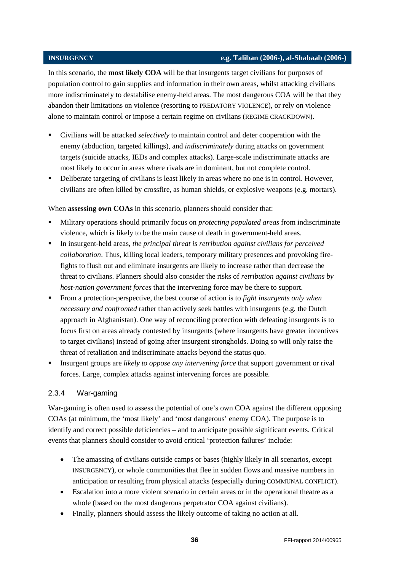#### **INSURGENCY e.g. Taliban (2006-), al-Shabaab (2006-)**

In this scenario, the **most likely COA** will be that insurgents target civilians for purposes of population control to gain supplies and information in their own areas, whilst attacking civilians more indiscriminately to destabilise enemy-held areas. The most dangerous COA will be that they abandon their limitations on violence (resorting to PREDATORY VIOLENCE), or rely on violence alone to maintain control or impose a certain regime on civilians (REGIME CRACKDOWN).

- Civilians will be attacked *selectively* to maintain control and deter cooperation with the enemy (abduction, targeted killings), and *indiscriminately* during attacks on government targets (suicide attacks, IEDs and complex attacks). Large-scale indiscriminate attacks are most likely to occur in areas where rivals are in dominant, but not complete control.
- Deliberate targeting of civilians is least likely in areas where no one is in control. However, civilians are often killed by crossfire, as human shields, or explosive weapons (e.g. mortars).

When **assessing own COAs** in this scenario, planners should consider that:

- Military operations should primarily focus on *protecting populated areas* from indiscriminate violence, which is likely to be the main cause of death in government-held areas.
- In insurgent-held areas, *the principal threat is retribution against civilians for perceived collaboration*. Thus, killing local leaders, temporary military presences and provoking firefights to flush out and eliminate insurgents are likely to increase rather than decrease the threat to civilians. Planners should also consider the risks of *retribution against civilians by host-nation government forces* that the intervening force may be there to support.
- From a protection-perspective, the best course of action is to *fight insurgents only when necessary and confronted* rather than actively seek battles with insurgents (e.g. the Dutch approach in Afghanistan). One way of reconciling protection with defeating insurgents is to focus first on areas already contested by insurgents (where insurgents have greater incentives to target civilians) instead of going after insurgent strongholds. Doing so will only raise the threat of retaliation and indiscriminate attacks beyond the status quo.
- Insurgent groups are *likely to oppose any intervening force* that support government or rival forces. Large, complex attacks against intervening forces are possible.

### <span id="page-37-0"></span>2.3.4 War-gaming

War-gaming is often used to assess the potential of one's own COA against the different opposing COAs (at minimum, the 'most likely' and 'most dangerous' enemy COA). The purpose is to identify and correct possible deficiencies – and to anticipate possible significant events. Critical events that planners should consider to avoid critical 'protection failures' include:

- The amassing of civilians outside camps or bases (highly likely in all scenarios, except INSURGENCY), or whole communities that flee in sudden flows and massive numbers in anticipation or resulting from physical attacks (especially during COMMUNAL CONFLICT).
- Escalation into a more violent scenario in certain areas or in the operational theatre as a whole (based on the most dangerous perpetrator COA against civilians).
- Finally, planners should assess the likely outcome of taking no action at all.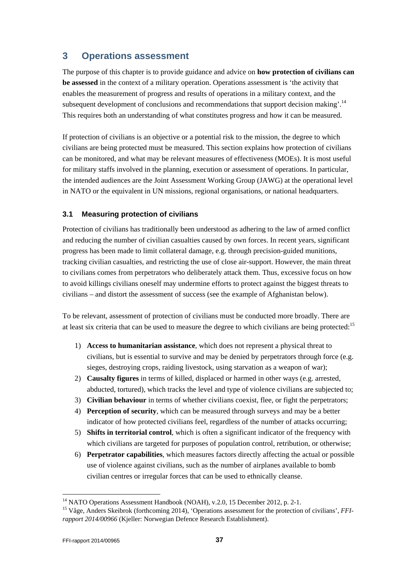# <span id="page-38-0"></span>**3 Operations assessment**

The purpose of this chapter is to provide guidance and advice on **how protection of civilians can be assessed** in the context of a military operation. Operations assessment is 'the activity that enables the measurement of progress and results of operations in a military context, and the subsequent development of conclusions and recommendations that support decision making'.<sup>[14](#page-38-2)</sup> This requires both an understanding of what constitutes progress and how it can be measured.

If protection of civilians is an objective or a potential risk to the mission, the degree to which civilians are being protected must be measured. This section explains how protection of civilians can be monitored, and what may be relevant measures of effectiveness (MOEs). It is most useful for military staffs involved in the planning, execution or assessment of operations. In particular, the intended audiences are the Joint Assessment Working Group (JAWG) at the operational level in NATO or the equivalent in UN missions, regional organisations, or national headquarters.

### <span id="page-38-1"></span>**3.1 Measuring protection of civilians**

Protection of civilians has traditionally been understood as adhering to the law of armed conflict and reducing the number of civilian casualties caused by own forces. In recent years, significant progress has been made to limit collateral damage, e.g. through precision-guided munitions, tracking civilian casualties, and restricting the use of close air-support. However, the main threat to civilians comes from perpetrators who deliberately attack them. Thus, excessive focus on how to avoid killings civilians oneself may undermine efforts to protect against the biggest threats to civilians – and distort the assessment of success (see the example of Afghanistan below).

To be relevant, assessment of protection of civilians must be conducted more broadly. There are at least six criteria that can be used to measure the degree to which civilians are being protected:<sup>[15](#page-38-3)</sup>

- 1) **Access to humanitarian assistance**, which does not represent a physical threat to civilians, but is essential to survive and may be denied by perpetrators through force (e.g. sieges, destroying crops, raiding livestock, using starvation as a weapon of war);
- 2) **Causalty figures** in terms of killed, displaced or harmed in other ways (e.g. arrested, abducted, tortured), which tracks the level and type of violence civilians are subjected to;
- 3) **Civilian behaviour** in terms of whether civilians coexist, flee, or fight the perpetrators;
- 4) **Perception of security**, which can be measured through surveys and may be a better indicator of how protected civilians feel, regardless of the number of attacks occurring;
- 5) **Shifts in territorial control**, which is often a significant indicator of the frequency with which civilians are targeted for purposes of population control, retribution, or otherwise;
- 6) **Perpetrator capabilities**, which measures factors directly affecting the actual or possible use of violence against civilians, such as the number of airplanes available to bomb civilian centres or irregular forces that can be used to ethnically cleanse.

j

<span id="page-38-3"></span><span id="page-38-2"></span><sup>&</sup>lt;sup>14</sup> NATO Operations Assessment Handbook (NOAH), v.2.0, 15 December 2012, p. 2-1.<br><sup>15</sup> Våge, Anders Skeibrok (forthcoming 2014), 'Operations assessment for the protection of civilians', *FFIrapport 2014/00966* (Kieller: Norwegian Defence Research Establishment).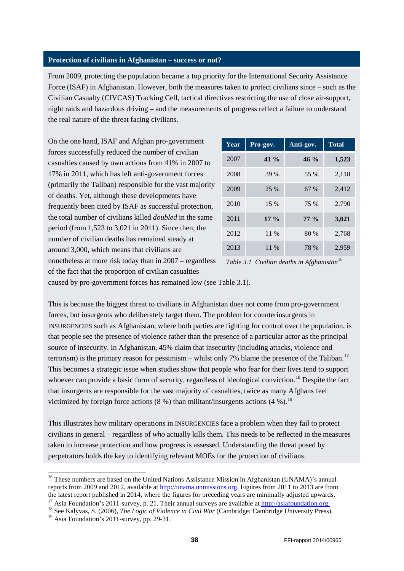#### **Protection of civilians in Afghanistan – success or not?**

From 2009, protecting the population became a top priority for the International Security Assistance Force (ISAF) in Afghanistan. However, both the measures taken to protect civilians since – such as the Civilian Casualty (CIVCAS) Tracking Cell, tactical directives restricting the use of close air-support, night raids and hazardous driving – and the measurements of progress reflect a failure to understand the real nature of the threat facing civilians.

On the one hand, ISAF and Afghan pro-government forces successfully reduced the number of civilian casualties caused by own actions from 41% in 2007 to 17% in 2011, which has left anti-government forces (primarily the Taliban) responsible for the vast majority of deaths. Yet, although these developments have frequently been cited by ISAF as successful protection, the total number of civilians killed *doubled* in the same period (from 1,523 to 3,021 in 2011). Since then, the number of civilian deaths has remained steady at around 3,000, which means that civilians are nonetheless at more risk today than in 2007 – regardless of the fact that the proportion of civilian casualties

| Year | Pro-gov. | Anti-gov. | <b>Total</b> |
|------|----------|-----------|--------------|
| 2007 | 41 $\%$  | $46\%$    | 1,523        |
| 2008 | 39 %     | 55 %      | 2,118        |
| 2009 | 25 %     | 67 %      | 2,412        |
| 2010 | 15 %     | 75 %      | 2,790        |
| 2011 | $17\%$   | $77\%$    | 3,021        |
| 2012 | 11 %     | 80 %      | 2,768        |
| 2013 | 11 %     | 78 %      | 2,959        |

*Table 3.1 Civilian deaths in Afghanistan*[16](#page-39-3)

caused by pro-government forces has remained low (see Table 3.1).

This is because the biggest threat to civilians in Afghanistan does not come from pro-government forces, but insurgents who deliberately target them. The problem for counterinsurgents in INSURGENCIES such as Afghanistan, where both parties are fighting for control over the population, is that people see the presence of violence rather than the presence of a particular actor as the principal source of insecurity. In Afghanistan, 45% claim that insecurity (including attacks, violence and terrorism) is the primary reason for pessimism – whilst only 7% blame the presence of the Taliban.<sup>[17](#page-39-0)</sup> This becomes a strategic issue when studies show that people who fear for their lives tend to support whoever can provide a basic form of security, regardless of ideological conviction.<sup>[18](#page-39-1)</sup> Despite the fact that insurgents are responsible for the vast majority of casualties, twice as many Afghans feel victimized by foreign force actions  $(8\%)$  than militant/insurgents actions  $(4\%)$ .<sup>[19](#page-39-2)</sup>

This illustrates how military operations in INSURGENCIES face a problem when they fail to protect civilians in general – regardless of *who* actually kills them. This needs to be reflected in the measures taken to increase protection and how progress is assessed. Understanding the threat posed by perpetrators holds the key to identifying relevant MOEs for the protection of civilians.

<span id="page-39-3"></span><sup>&</sup>lt;sup>16</sup> These numbers are based on the United Nations Assistance Mission in Afghanistan (UNAMA)'s annual reports from 2009 and 2012, available at [http://unama.unmissions.org.](http://unama.unmissions.org/) Figures from 2011 to 2013 are from the latest report published in 2014, where the figures for preceding years are minimally adjusted upwards.

<span id="page-39-0"></span><sup>&</sup>lt;sup>17</sup> Asia Foundation's 2011-survey, p. 21. Their annual surveys are available at [http://asiafoundation.org.](http://asiafoundation.org/) <sup>18</sup> See Kalyvas, S. (2006), *The Logic of Violence in Civil War* (Cambridge: Cambridge University Press).

<span id="page-39-2"></span><span id="page-39-1"></span><sup>&</sup>lt;sup>19</sup> Asia Foundation's 2011-survey, pp. 29-31.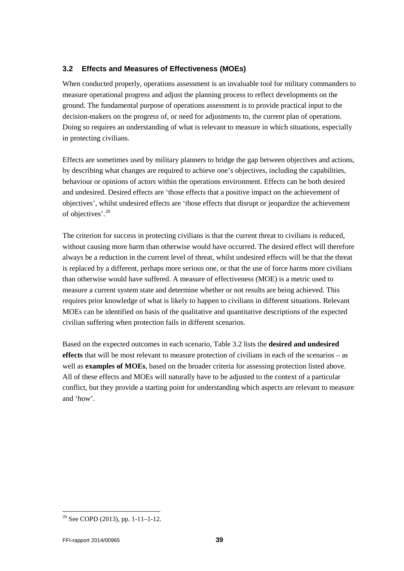### <span id="page-40-0"></span>**3.2 Effects and Measures of Effectiveness (MOEs)**

When conducted properly, operations assessment is an invaluable tool for military commanders to measure operational progress and adjust the planning process to reflect developments on the ground. The fundamental purpose of operations assessment is to provide practical input to the decision-makers on the progress of, or need for adjustments to, the current plan of operations. Doing so requires an understanding of what is relevant to measure in which situations, especially in protecting civilians.

Effects are sometimes used by military planners to bridge the gap between objectives and actions, by describing what changes are required to achieve one's objectives, including the capabilities, behaviour or opinions of actors within the operations environment. Effects can be both desired and undesired. Desired effects are 'those effects that a positive impact on the achievement of objectives', whilst undesired effects are 'those effects that disrupt or jeopardize the achievement of objectives'.[20](#page-40-1)

The criterion for success in protecting civilians is that the current threat to civilians is reduced, without causing more harm than otherwise would have occurred. The desired effect will therefore always be a reduction in the current level of threat, whilst undesired effects will be that the threat is replaced by a different, perhaps more serious one, or that the use of force harms more civilians than otherwise would have suffered. A measure of effectiveness (MOE) is a metric used to measure a current system state and determine whether or not results are being achieved. This requires prior knowledge of what is likely to happen to civilians in different situations. Relevant MOEs can be identified on basis of the qualitative and quantitative descriptions of the expected civilian suffering when protection fails in different scenarios.

Based on the expected outcomes in each scenario, Table 3.2 lists the **desired and undesired effects** that will be most relevant to measure protection of civilians in each of the scenarios – as well as **examples of MOEs**, based on the broader criteria for assessing protection listed above. All of these effects and MOEs will naturally have to be adjusted to the context of a particular conflict, but they provide a starting point for understanding which aspects are relevant to measure and 'how'.

<span id="page-40-1"></span><sup>&</sup>lt;sup>20</sup> See COPD (2013), pp. 1-11-1-12.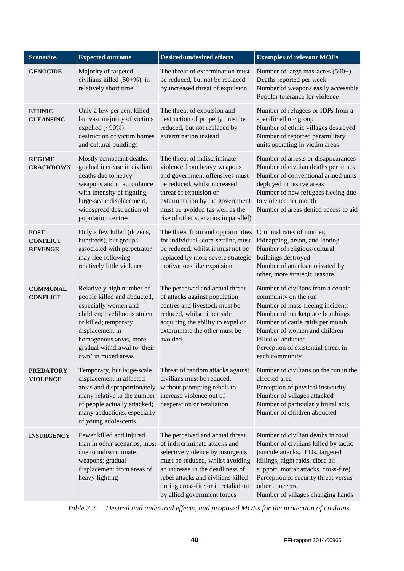| <b>Scenarios</b>                           | <b>Expected outcome</b>                                                                                                                                                                                                                      | <b>Desired/undesired effects</b>                                                                                                                                                                                                                                                                                       | <b>Examples of relevant MOEs</b>                                                                                                                                                                                                                                                           |
|--------------------------------------------|----------------------------------------------------------------------------------------------------------------------------------------------------------------------------------------------------------------------------------------------|------------------------------------------------------------------------------------------------------------------------------------------------------------------------------------------------------------------------------------------------------------------------------------------------------------------------|--------------------------------------------------------------------------------------------------------------------------------------------------------------------------------------------------------------------------------------------------------------------------------------------|
| <b>GENOCIDE</b>                            | Majority of targeted<br>civilians killed $(50+%)$ , in<br>relatively short time                                                                                                                                                              | The threat of extermination must<br>be reduced, but not be replaced<br>by increased threat of expulsion                                                                                                                                                                                                                | Number of large massacres (500+)<br>Deaths reported per week<br>Number of weapons easily accessible<br>Popular tolerance for violence                                                                                                                                                      |
| <b>ETHNIC</b><br><b>CLEANSING</b>          | Only a few per cent killed,<br>but vast majority of victims<br>expelled $(\sim90\%)$ ;<br>destruction of victim homes<br>and cultural buildings                                                                                              | The threat of expulsion and<br>destruction of property must be<br>reduced, but not replaced by<br>extermination instead                                                                                                                                                                                                | Number of refugees or IDPs from a<br>specific ethnic group<br>Number of ethnic villages destroyed<br>Number of reported paramilitary<br>units operating in victim areas                                                                                                                    |
| <b>REGIME</b><br><b>CRACKDOWN</b>          | Mostly combatant deaths,<br>gradual increase in civilian<br>deaths due to heavy<br>weapons and in accordance<br>with intensity of fighting,<br>large-scale displacement,<br>widespread destruction of<br>population centres                  | The threat of indiscriminate<br>violence from heavy weapons<br>and government offensives must<br>be reduced, whilst increased<br>threat of expulsion or<br>extermination by the government<br>must be avoided (as well as the<br>rise of other scenarios in parallel)                                                  | Number of arrests or disappearances<br>Number of civilian deaths per attack<br>Number of conventional armed units<br>deployed in restive areas<br>Number of new refugees fleeing due<br>to violence per month<br>Number of areas denied access to aid                                      |
| POST-<br><b>CONFLICT</b><br><b>REVENGE</b> | Only a few killed (dozens,<br>hundreds), but groups<br>associated with perpetrator<br>may flee following<br>relatively little violence                                                                                                       | The threat from and opportunities<br>for individual score-settling must<br>be reduced, whilst it must not be<br>replaced by more severe strategic<br>motivations like expulsion                                                                                                                                        | Criminal rates of murder,<br>kidnapping, arson, and looting<br>Number of religious/cultural<br>buildings destroyed<br>Number of attacks motivated by<br>other, more strategic reasons                                                                                                      |
| <b>COMMUNAL</b><br><b>CONFLICT</b>         | Relatively high number of<br>people killed and abducted,<br>especially women and<br>children; livelihoods stolen<br>or killed; temporary<br>displacement in<br>homogenous areas, more<br>gradual withdrawal to 'their<br>own' in mixed areas | The perceived and actual threat<br>of attacks against population<br>centres and livestock must be<br>reduced, whilst either side<br>acquiring the ability to expel or<br>exterminate the other must be<br>avoided                                                                                                      | Number of civilians from a certain<br>community on the run<br>Number of mass-fleeing incidents<br>Number of marketplace bombings<br>Number of cattle raids per month<br>Number of women and children<br>killed or abducted<br>Perception of existential threat in<br>each community        |
| <b>PREDATORY</b><br><b>VIOLENCE</b>        | Temporary, but large-scale<br>displacement in affected<br>areas and disproportionately<br>many relative to the number<br>of people actually attacked;<br>many abductions, especially<br>of young adolescents                                 | Threat of random attacks against<br>civilians must be reduced,<br>without prompting rebels to<br>increase violence out of<br>desperation or retaliation                                                                                                                                                                | Number of civilians on the run in the<br>affected area<br>Perception of physical insecurity<br>Number of villages attacked<br>Number of particularly brutal acts<br>Number of children abducted                                                                                            |
| <b>INSURGENCY</b>                          | Fewer killed and injured<br>due to indiscriminate<br>weapons; gradual<br>displacement from areas of<br>heavy fighting                                                                                                                        | The perceived and actual threat<br>than in other scenarios, most of indiscriminate attacks and<br>selective violence by insurgents<br>must be reduced, whilst avoiding<br>an increase in the deadliness of<br>rebel attacks and civilians killed<br>during cross-fire or in retaliation<br>by allied government forces | Number of civilian deaths in total<br>Number of civilians killed by tactic<br>(suicide attacks, IEDs, targeted<br>killings, night raids, close air-<br>support, mortar attacks, cross-fire)<br>Perception of security threat versus<br>other concerns<br>Number of villages changing hands |

*Table 3.2 Desired and undesired effects, and proposed MOEs for the protection of civilians*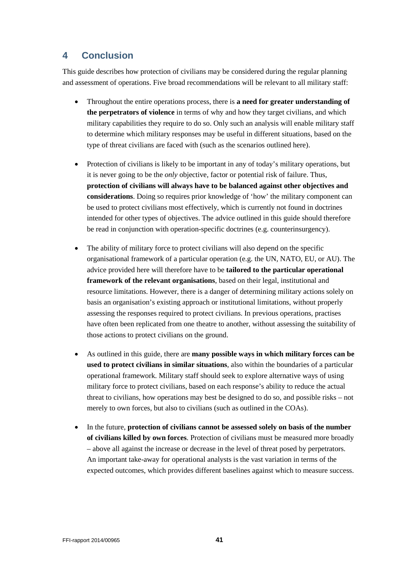# <span id="page-42-0"></span>**4 Conclusion**

This guide describes how protection of civilians may be considered during the regular planning and assessment of operations. Five broad recommendations will be relevant to all military staff:

- Throughout the entire operations process, there is **a need for greater understanding of the perpetrators of violence** in terms of why and how they target civilians, and which military capabilities they require to do so. Only such an analysis will enable military staff to determine which military responses may be useful in different situations, based on the type of threat civilians are faced with (such as the scenarios outlined here).
- Protection of civilians is likely to be important in any of today's military operations, but it is never going to be the *only* objective, factor or potential risk of failure. Thus, **protection of civilians will always have to be balanced against other objectives and considerations**. Doing so requires prior knowledge of 'how' the military component can be used to protect civilians most effectively, which is currently not found in doctrines intended for other types of objectives. The advice outlined in this guide should therefore be read in conjunction with operation-specific doctrines (e.g. counterinsurgency).
- The ability of military force to protect civilians will also depend on the specific organisational framework of a particular operation (e.g. the UN, NATO, EU, or AU). The advice provided here will therefore have to be **tailored to the particular operational framework of the relevant organisations**, based on their legal, institutional and resource limitations. However, there is a danger of determining military actions solely on basis an organisation's existing approach or institutional limitations, without properly assessing the responses required to protect civilians. In previous operations, practises have often been replicated from one theatre to another, without assessing the suitability of those actions to protect civilians on the ground.
- As outlined in this guide, there are **many possible ways in which military forces can be used to protect civilians in similar situations**, also within the boundaries of a particular operational framework. Military staff should seek to explore alternative ways of using military force to protect civilians, based on each response's ability to reduce the actual threat to civilians, how operations may best be designed to do so, and possible risks – not merely to own forces, but also to civilians (such as outlined in the COAs).
- In the future, **protection of civilians cannot be assessed solely on basis of the number of civilians killed by own forces**. Protection of civilians must be measured more broadly – above all against the increase or decrease in the level of threat posed by perpetrators. An important take-away for operational analysts is the vast variation in terms of the expected outcomes, which provides different baselines against which to measure success.